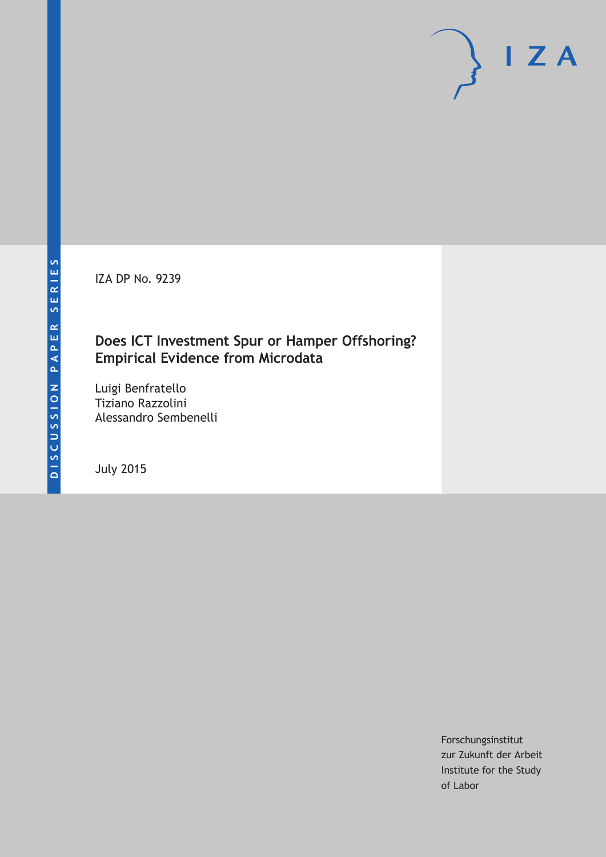IZA DP No. 9239

## **Does ICT Investment Spur or Hamper Offshoring? Empirical Evidence from Microdata**

Luigi Benfratello Tiziano Razzolini Alessandro Sembenelli

July 2015

Forschungsinstitut zur Zukunft der Arbeit Institute for the Study of Labor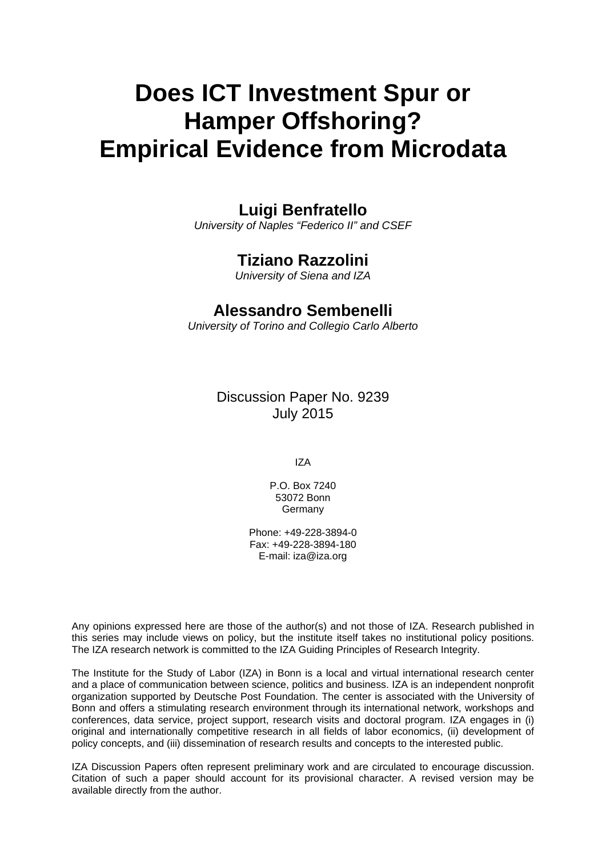# **Does ICT Investment Spur or Hamper Offshoring? Empirical Evidence from Microdata**

## **Luigi Benfratello**

*University of Naples "Federico II" and CSEF* 

## **Tiziano Razzolini**

*University of Siena and IZA* 

## **Alessandro Sembenelli**

*University of Torino and Collegio Carlo Alberto*

Discussion Paper No. 9239 July 2015

IZA

P.O. Box 7240 53072 Bonn Germany

Phone: +49-228-3894-0 Fax: +49-228-3894-180 E-mail: iza@iza.org

Any opinions expressed here are those of the author(s) and not those of IZA. Research published in this series may include views on policy, but the institute itself takes no institutional policy positions. The IZA research network is committed to the IZA Guiding Principles of Research Integrity.

The Institute for the Study of Labor (IZA) in Bonn is a local and virtual international research center and a place of communication between science, politics and business. IZA is an independent nonprofit organization supported by Deutsche Post Foundation. The center is associated with the University of Bonn and offers a stimulating research environment through its international network, workshops and conferences, data service, project support, research visits and doctoral program. IZA engages in (i) original and internationally competitive research in all fields of labor economics, (ii) development of policy concepts, and (iii) dissemination of research results and concepts to the interested public.

IZA Discussion Papers often represent preliminary work and are circulated to encourage discussion. Citation of such a paper should account for its provisional character. A revised version may be available directly from the author.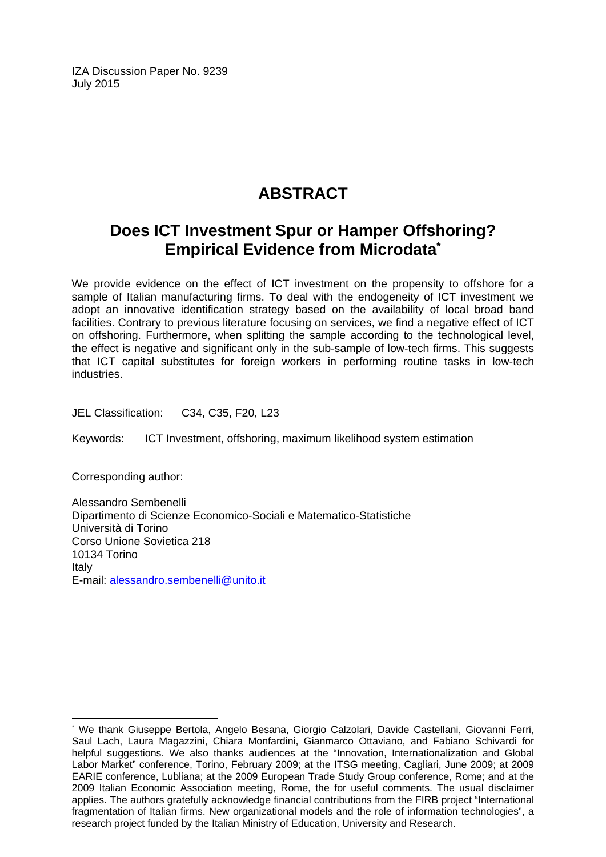IZA Discussion Paper No. 9239 July 2015

## **ABSTRACT**

## **Does ICT Investment Spur or Hamper Offshoring? Empirical Evidence from Microdata\***

We provide evidence on the effect of ICT investment on the propensity to offshore for a sample of Italian manufacturing firms. To deal with the endogeneity of ICT investment we adopt an innovative identification strategy based on the availability of local broad band facilities. Contrary to previous literature focusing on services, we find a negative effect of ICT on offshoring. Furthermore, when splitting the sample according to the technological level, the effect is negative and significant only in the sub-sample of low-tech firms. This suggests that ICT capital substitutes for foreign workers in performing routine tasks in low-tech industries.

JEL Classification: C34, C35, F20, L23

Keywords: ICT Investment, offshoring, maximum likelihood system estimation

Corresponding author:

 $\overline{\phantom{a}}$ 

Alessandro Sembenelli Dipartimento di Scienze Economico-Sociali e Matematico-Statistiche Università di Torino Corso Unione Sovietica 218 10134 Torino Italy E-mail: alessandro.sembenelli@unito.it

<sup>\*</sup> We thank Giuseppe Bertola, Angelo Besana, Giorgio Calzolari, Davide Castellani, Giovanni Ferri, Saul Lach, Laura Magazzini, Chiara Monfardini, Gianmarco Ottaviano, and Fabiano Schivardi for helpful suggestions. We also thanks audiences at the "Innovation, Internationalization and Global Labor Market" conference, Torino, February 2009; at the ITSG meeting, Cagliari, June 2009; at 2009 EARIE conference, Lubliana; at the 2009 European Trade Study Group conference, Rome; and at the 2009 Italian Economic Association meeting, Rome, the for useful comments. The usual disclaimer applies. The authors gratefully acknowledge financial contributions from the FIRB project "International fragmentation of Italian firms. New organizational models and the role of information technologies", a research project funded by the Italian Ministry of Education, University and Research.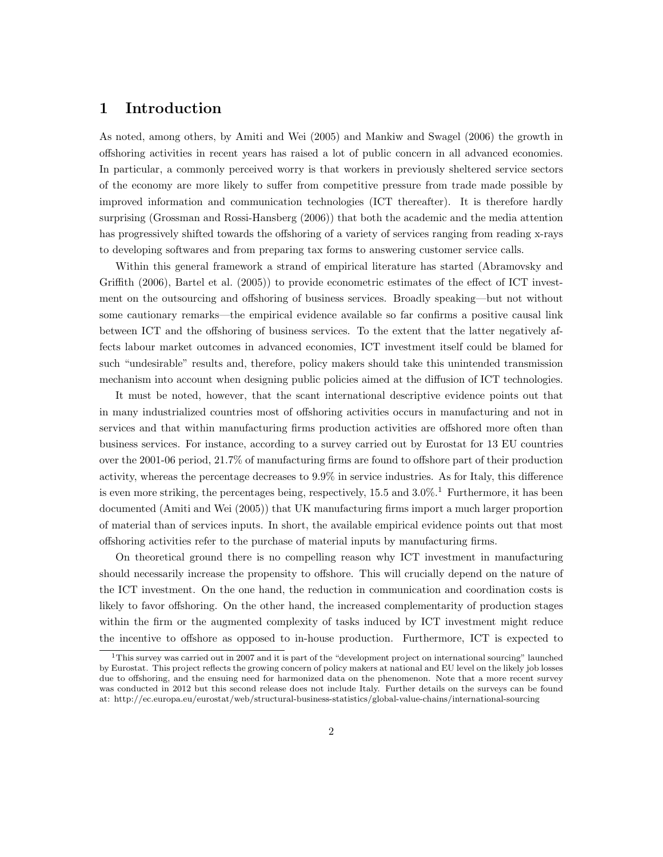### 1 Introduction

As noted, among others, by Amiti and Wei (2005) and Mankiw and Swagel (2006) the growth in offshoring activities in recent years has raised a lot of public concern in all advanced economies. In particular, a commonly perceived worry is that workers in previously sheltered service sectors of the economy are more likely to suffer from competitive pressure from trade made possible by improved information and communication technologies (ICT thereafter). It is therefore hardly surprising (Grossman and Rossi-Hansberg (2006)) that both the academic and the media attention has progressively shifted towards the offshoring of a variety of services ranging from reading x-rays to developing softwares and from preparing tax forms to answering customer service calls.

Within this general framework a strand of empirical literature has started (Abramovsky and Griffith (2006), Bartel et al. (2005)) to provide econometric estimates of the effect of ICT investment on the outsourcing and offshoring of business services. Broadly speaking—but not without some cautionary remarks—the empirical evidence available so far confirms a positive causal link between ICT and the offshoring of business services. To the extent that the latter negatively affects labour market outcomes in advanced economies, ICT investment itself could be blamed for such "undesirable" results and, therefore, policy makers should take this unintended transmission mechanism into account when designing public policies aimed at the diffusion of ICT technologies.

It must be noted, however, that the scant international descriptive evidence points out that in many industrialized countries most of offshoring activities occurs in manufacturing and not in services and that within manufacturing firms production activities are offshored more often than business services. For instance, according to a survey carried out by Eurostat for 13 EU countries over the 2001-06 period, 21.7% of manufacturing firms are found to offshore part of their production activity, whereas the percentage decreases to 9.9% in service industries. As for Italy, this difference is even more striking, the percentages being, respectively,  $15.5$  and  $3.0\%$ .<sup>1</sup> Furthermore, it has been documented (Amiti and Wei (2005)) that UK manufacturing firms import a much larger proportion of material than of services inputs. In short, the available empirical evidence points out that most offshoring activities refer to the purchase of material inputs by manufacturing firms.

On theoretical ground there is no compelling reason why ICT investment in manufacturing should necessarily increase the propensity to offshore. This will crucially depend on the nature of the ICT investment. On the one hand, the reduction in communication and coordination costs is likely to favor offshoring. On the other hand, the increased complementarity of production stages within the firm or the augmented complexity of tasks induced by ICT investment might reduce the incentive to offshore as opposed to in-house production. Furthermore, ICT is expected to

<sup>&</sup>lt;sup>1</sup>This survey was carried out in 2007 and it is part of the "development project on international sourcing" launched by Eurostat. This project reflects the growing concern of policy makers at national and EU level on the likely job losses due to offshoring, and the ensuing need for harmonized data on the phenomenon. Note that a more recent survey was conducted in 2012 but this second release does not include Italy. Further details on the surveys can be found at: http://ec.europa.eu/eurostat/web/structural-business-statistics/global-value-chains/international-sourcing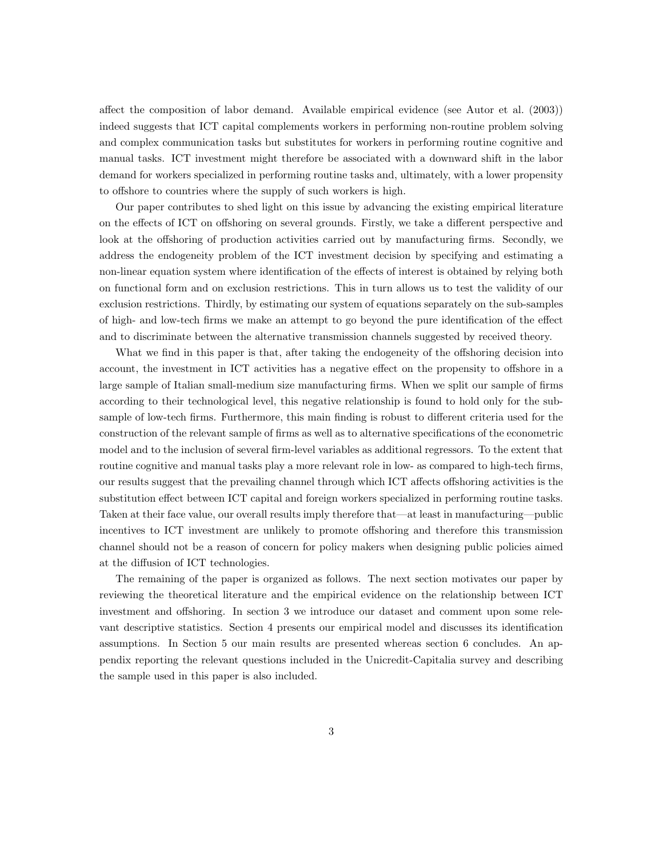affect the composition of labor demand. Available empirical evidence (see Autor et al. (2003)) indeed suggests that ICT capital complements workers in performing non-routine problem solving and complex communication tasks but substitutes for workers in performing routine cognitive and manual tasks. ICT investment might therefore be associated with a downward shift in the labor demand for workers specialized in performing routine tasks and, ultimately, with a lower propensity to offshore to countries where the supply of such workers is high.

Our paper contributes to shed light on this issue by advancing the existing empirical literature on the effects of ICT on offshoring on several grounds. Firstly, we take a different perspective and look at the offshoring of production activities carried out by manufacturing firms. Secondly, we address the endogeneity problem of the ICT investment decision by specifying and estimating a non-linear equation system where identification of the effects of interest is obtained by relying both on functional form and on exclusion restrictions. This in turn allows us to test the validity of our exclusion restrictions. Thirdly, by estimating our system of equations separately on the sub-samples of high- and low-tech firms we make an attempt to go beyond the pure identification of the effect and to discriminate between the alternative transmission channels suggested by received theory.

What we find in this paper is that, after taking the endogeneity of the offshoring decision into account, the investment in ICT activities has a negative effect on the propensity to offshore in a large sample of Italian small-medium size manufacturing firms. When we split our sample of firms according to their technological level, this negative relationship is found to hold only for the subsample of low-tech firms. Furthermore, this main finding is robust to different criteria used for the construction of the relevant sample of firms as well as to alternative specifications of the econometric model and to the inclusion of several firm-level variables as additional regressors. To the extent that routine cognitive and manual tasks play a more relevant role in low- as compared to high-tech firms, our results suggest that the prevailing channel through which ICT affects offshoring activities is the substitution effect between ICT capital and foreign workers specialized in performing routine tasks. Taken at their face value, our overall results imply therefore that—at least in manufacturing—public incentives to ICT investment are unlikely to promote offshoring and therefore this transmission channel should not be a reason of concern for policy makers when designing public policies aimed at the diffusion of ICT technologies.

The remaining of the paper is organized as follows. The next section motivates our paper by reviewing the theoretical literature and the empirical evidence on the relationship between ICT investment and offshoring. In section 3 we introduce our dataset and comment upon some relevant descriptive statistics. Section 4 presents our empirical model and discusses its identification assumptions. In Section 5 our main results are presented whereas section 6 concludes. An appendix reporting the relevant questions included in the Unicredit-Capitalia survey and describing the sample used in this paper is also included.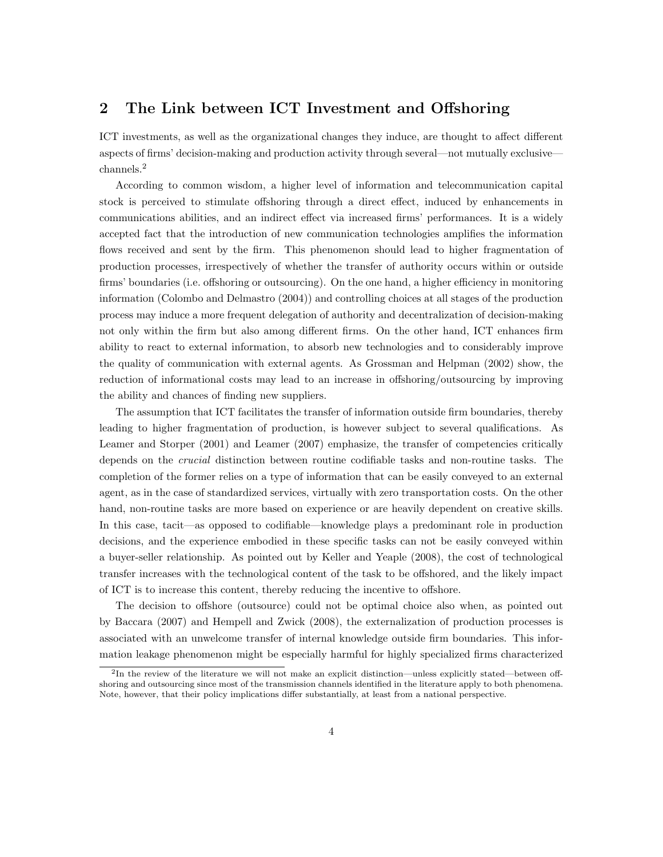## 2 The Link between ICT Investment and Offshoring

ICT investments, as well as the organizational changes they induce, are thought to affect different aspects of firms' decision-making and production activity through several—not mutually exclusive channels.<sup>2</sup>

According to common wisdom, a higher level of information and telecommunication capital stock is perceived to stimulate offshoring through a direct effect, induced by enhancements in communications abilities, and an indirect effect via increased firms' performances. It is a widely accepted fact that the introduction of new communication technologies amplifies the information flows received and sent by the firm. This phenomenon should lead to higher fragmentation of production processes, irrespectively of whether the transfer of authority occurs within or outside firms' boundaries (i.e. offshoring or outsourcing). On the one hand, a higher efficiency in monitoring information (Colombo and Delmastro (2004)) and controlling choices at all stages of the production process may induce a more frequent delegation of authority and decentralization of decision-making not only within the firm but also among different firms. On the other hand, ICT enhances firm ability to react to external information, to absorb new technologies and to considerably improve the quality of communication with external agents. As Grossman and Helpman (2002) show, the reduction of informational costs may lead to an increase in offshoring/outsourcing by improving the ability and chances of finding new suppliers.

The assumption that ICT facilitates the transfer of information outside firm boundaries, thereby leading to higher fragmentation of production, is however subject to several qualifications. As Leamer and Storper (2001) and Leamer (2007) emphasize, the transfer of competencies critically depends on the crucial distinction between routine codifiable tasks and non-routine tasks. The completion of the former relies on a type of information that can be easily conveyed to an external agent, as in the case of standardized services, virtually with zero transportation costs. On the other hand, non-routine tasks are more based on experience or are heavily dependent on creative skills. In this case, tacit—as opposed to codifiable—knowledge plays a predominant role in production decisions, and the experience embodied in these specific tasks can not be easily conveyed within a buyer-seller relationship. As pointed out by Keller and Yeaple (2008), the cost of technological transfer increases with the technological content of the task to be offshored, and the likely impact of ICT is to increase this content, thereby reducing the incentive to offshore.

The decision to offshore (outsource) could not be optimal choice also when, as pointed out by Baccara (2007) and Hempell and Zwick (2008), the externalization of production processes is associated with an unwelcome transfer of internal knowledge outside firm boundaries. This information leakage phenomenon might be especially harmful for highly specialized firms characterized

<sup>2</sup> In the review of the literature we will not make an explicit distinction—unless explicitly stated—between offshoring and outsourcing since most of the transmission channels identified in the literature apply to both phenomena. Note, however, that their policy implications differ substantially, at least from a national perspective.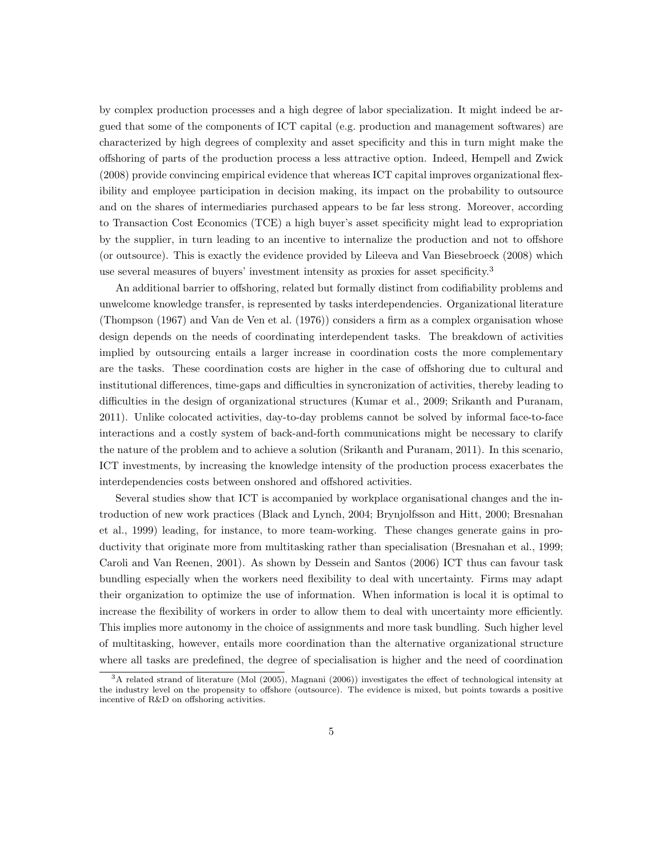by complex production processes and a high degree of labor specialization. It might indeed be argued that some of the components of ICT capital (e.g. production and management softwares) are characterized by high degrees of complexity and asset specificity and this in turn might make the offshoring of parts of the production process a less attractive option. Indeed, Hempell and Zwick (2008) provide convincing empirical evidence that whereas ICT capital improves organizational flexibility and employee participation in decision making, its impact on the probability to outsource and on the shares of intermediaries purchased appears to be far less strong. Moreover, according to Transaction Cost Economics (TCE) a high buyer's asset specificity might lead to expropriation by the supplier, in turn leading to an incentive to internalize the production and not to offshore (or outsource). This is exactly the evidence provided by Lileeva and Van Biesebroeck (2008) which use several measures of buyers' investment intensity as proxies for asset specificity.<sup>3</sup>

An additional barrier to offshoring, related but formally distinct from codifiability problems and unwelcome knowledge transfer, is represented by tasks interdependencies. Organizational literature (Thompson (1967) and Van de Ven et al. (1976)) considers a firm as a complex organisation whose design depends on the needs of coordinating interdependent tasks. The breakdown of activities implied by outsourcing entails a larger increase in coordination costs the more complementary are the tasks. These coordination costs are higher in the case of offshoring due to cultural and institutional differences, time-gaps and difficulties in syncronization of activities, thereby leading to difficulties in the design of organizational structures (Kumar et al., 2009; Srikanth and Puranam, 2011). Unlike colocated activities, day-to-day problems cannot be solved by informal face-to-face interactions and a costly system of back-and-forth communications might be necessary to clarify the nature of the problem and to achieve a solution (Srikanth and Puranam, 2011). In this scenario, ICT investments, by increasing the knowledge intensity of the production process exacerbates the interdependencies costs between onshored and offshored activities.

Several studies show that ICT is accompanied by workplace organisational changes and the introduction of new work practices (Black and Lynch, 2004; Brynjolfsson and Hitt, 2000; Bresnahan et al., 1999) leading, for instance, to more team-working. These changes generate gains in productivity that originate more from multitasking rather than specialisation (Bresnahan et al., 1999; Caroli and Van Reenen, 2001). As shown by Dessein and Santos (2006) ICT thus can favour task bundling especially when the workers need flexibility to deal with uncertainty. Firms may adapt their organization to optimize the use of information. When information is local it is optimal to increase the flexibility of workers in order to allow them to deal with uncertainty more efficiently. This implies more autonomy in the choice of assignments and more task bundling. Such higher level of multitasking, however, entails more coordination than the alternative organizational structure where all tasks are predefined, the degree of specialisation is higher and the need of coordination

<sup>&</sup>lt;sup>3</sup>A related strand of literature (Mol (2005), Magnani (2006)) investigates the effect of technological intensity at the industry level on the propensity to offshore (outsource). The evidence is mixed, but points towards a positive incentive of R&D on offshoring activities.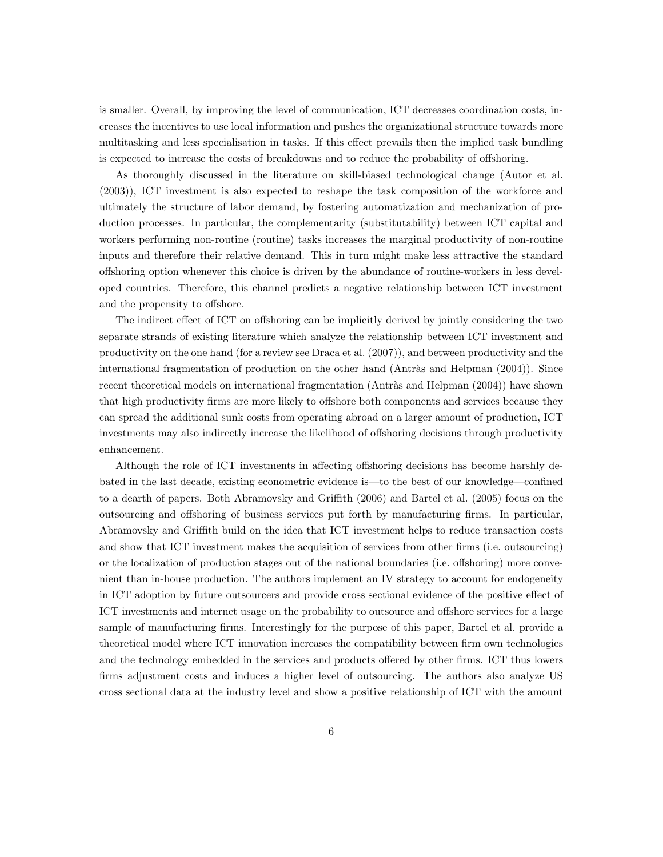is smaller. Overall, by improving the level of communication, ICT decreases coordination costs, increases the incentives to use local information and pushes the organizational structure towards more multitasking and less specialisation in tasks. If this effect prevails then the implied task bundling is expected to increase the costs of breakdowns and to reduce the probability of offshoring.

As thoroughly discussed in the literature on skill-biased technological change (Autor et al. (2003)), ICT investment is also expected to reshape the task composition of the workforce and ultimately the structure of labor demand, by fostering automatization and mechanization of production processes. In particular, the complementarity (substitutability) between ICT capital and workers performing non-routine (routine) tasks increases the marginal productivity of non-routine inputs and therefore their relative demand. This in turn might make less attractive the standard offshoring option whenever this choice is driven by the abundance of routine-workers in less developed countries. Therefore, this channel predicts a negative relationship between ICT investment and the propensity to offshore.

The indirect effect of ICT on offshoring can be implicitly derived by jointly considering the two separate strands of existing literature which analyze the relationship between ICT investment and productivity on the one hand (for a review see Draca et al. (2007)), and between productivity and the international fragmentation of production on the other hand (Antràs and Helpman (2004)). Since recent theoretical models on international fragmentation (Antràs and Helpman (2004)) have shown that high productivity firms are more likely to offshore both components and services because they can spread the additional sunk costs from operating abroad on a larger amount of production, ICT investments may also indirectly increase the likelihood of offshoring decisions through productivity enhancement.

Although the role of ICT investments in affecting offshoring decisions has become harshly debated in the last decade, existing econometric evidence is—to the best of our knowledge—confined to a dearth of papers. Both Abramovsky and Griffith (2006) and Bartel et al. (2005) focus on the outsourcing and offshoring of business services put forth by manufacturing firms. In particular, Abramovsky and Griffith build on the idea that ICT investment helps to reduce transaction costs and show that ICT investment makes the acquisition of services from other firms (i.e. outsourcing) or the localization of production stages out of the national boundaries (i.e. offshoring) more convenient than in-house production. The authors implement an IV strategy to account for endogeneity in ICT adoption by future outsourcers and provide cross sectional evidence of the positive effect of ICT investments and internet usage on the probability to outsource and offshore services for a large sample of manufacturing firms. Interestingly for the purpose of this paper, Bartel et al. provide a theoretical model where ICT innovation increases the compatibility between firm own technologies and the technology embedded in the services and products offered by other firms. ICT thus lowers firms adjustment costs and induces a higher level of outsourcing. The authors also analyze US cross sectional data at the industry level and show a positive relationship of ICT with the amount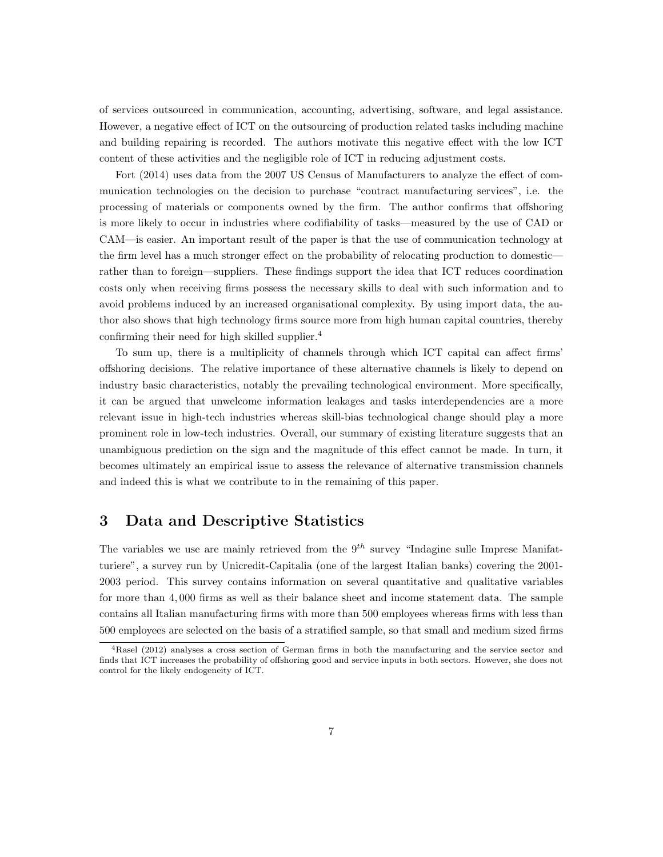of services outsourced in communication, accounting, advertising, software, and legal assistance. However, a negative effect of ICT on the outsourcing of production related tasks including machine and building repairing is recorded. The authors motivate this negative effect with the low ICT content of these activities and the negligible role of ICT in reducing adjustment costs.

Fort (2014) uses data from the 2007 US Census of Manufacturers to analyze the effect of communication technologies on the decision to purchase "contract manufacturing services", i.e. the processing of materials or components owned by the firm. The author confirms that offshoring is more likely to occur in industries where codifiability of tasks—measured by the use of CAD or CAM—is easier. An important result of the paper is that the use of communication technology at the firm level has a much stronger effect on the probability of relocating production to domestic rather than to foreign—suppliers. These findings support the idea that ICT reduces coordination costs only when receiving firms possess the necessary skills to deal with such information and to avoid problems induced by an increased organisational complexity. By using import data, the author also shows that high technology firms source more from high human capital countries, thereby confirming their need for high skilled supplier.<sup>4</sup>

To sum up, there is a multiplicity of channels through which ICT capital can affect firms' offshoring decisions. The relative importance of these alternative channels is likely to depend on industry basic characteristics, notably the prevailing technological environment. More specifically, it can be argued that unwelcome information leakages and tasks interdependencies are a more relevant issue in high-tech industries whereas skill-bias technological change should play a more prominent role in low-tech industries. Overall, our summary of existing literature suggests that an unambiguous prediction on the sign and the magnitude of this effect cannot be made. In turn, it becomes ultimately an empirical issue to assess the relevance of alternative transmission channels and indeed this is what we contribute to in the remaining of this paper.

### 3 Data and Descriptive Statistics

The variables we use are mainly retrieved from the  $9<sup>th</sup>$  survey "Indagine sulle Imprese Manifatturiere", a survey run by Unicredit-Capitalia (one of the largest Italian banks) covering the 2001- 2003 period. This survey contains information on several quantitative and qualitative variables for more than 4, 000 firms as well as their balance sheet and income statement data. The sample contains all Italian manufacturing firms with more than 500 employees whereas firms with less than 500 employees are selected on the basis of a stratified sample, so that small and medium sized firms

<sup>4</sup>Rasel (2012) analyses a cross section of German firms in both the manufacturing and the service sector and finds that ICT increases the probability of offshoring good and service inputs in both sectors. However, she does not control for the likely endogeneity of ICT.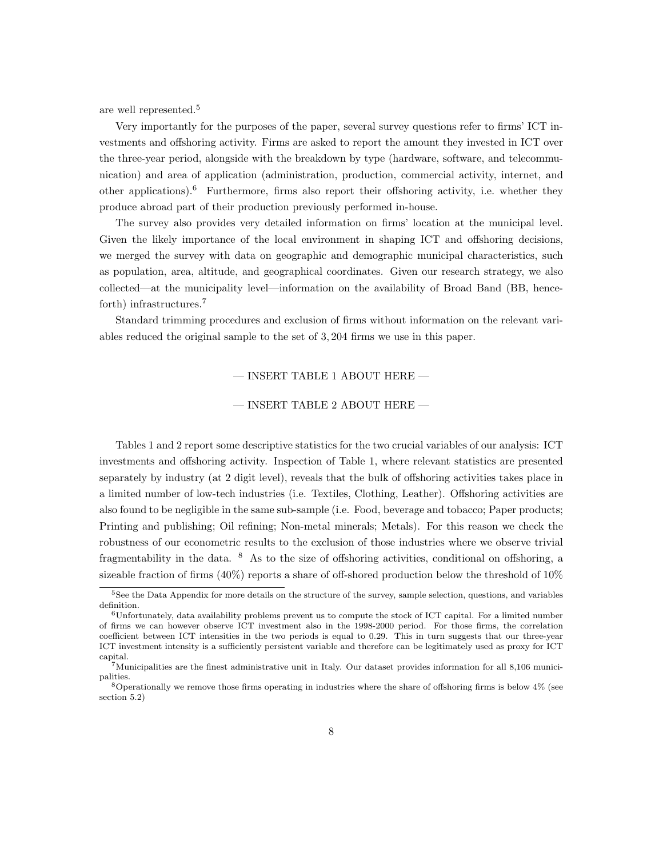are well represented.<sup>5</sup>

Very importantly for the purposes of the paper, several survey questions refer to firms' ICT investments and offshoring activity. Firms are asked to report the amount they invested in ICT over the three-year period, alongside with the breakdown by type (hardware, software, and telecommunication) and area of application (administration, production, commercial activity, internet, and other applications).<sup>6</sup> Furthermore, firms also report their offshoring activity, i.e. whether they produce abroad part of their production previously performed in-house.

The survey also provides very detailed information on firms' location at the municipal level. Given the likely importance of the local environment in shaping ICT and offshoring decisions, we merged the survey with data on geographic and demographic municipal characteristics, such as population, area, altitude, and geographical coordinates. Given our research strategy, we also collected—at the municipality level—information on the availability of Broad Band (BB, henceforth) infrastructures.<sup>7</sup>

Standard trimming procedures and exclusion of firms without information on the relevant variables reduced the original sample to the set of 3, 204 firms we use in this paper.

 $-$  INSERT TABLE 1 ABOUT HERE  $-$ 

#### $-$  INSERT TABLE 2 ABOUT HERE  $-$

Tables 1 and 2 report some descriptive statistics for the two crucial variables of our analysis: ICT investments and offshoring activity. Inspection of Table 1, where relevant statistics are presented separately by industry (at 2 digit level), reveals that the bulk of offshoring activities takes place in a limited number of low-tech industries (i.e. Textiles, Clothing, Leather). Offshoring activities are also found to be negligible in the same sub-sample (i.e. Food, beverage and tobacco; Paper products; Printing and publishing; Oil refining; Non-metal minerals; Metals). For this reason we check the robustness of our econometric results to the exclusion of those industries where we observe trivial fragmentability in the data. <sup>8</sup> As to the size of offshoring activities, conditional on offshoring, a sizeable fraction of firms  $(40\%)$  reports a share of off-shored production below the threshold of 10%

<sup>&</sup>lt;sup>5</sup>See the Data Appendix for more details on the structure of the survey, sample selection, questions, and variables definition.

 $6$ Unfortunately, data availability problems prevent us to compute the stock of ICT capital. For a limited number of firms we can however observe ICT investment also in the 1998-2000 period. For those firms, the correlation coefficient between ICT intensities in the two periods is equal to 0.29. This in turn suggests that our three-year ICT investment intensity is a sufficiently persistent variable and therefore can be legitimately used as proxy for ICT capital.

<sup>7</sup>Municipalities are the finest administrative unit in Italy. Our dataset provides information for all 8,106 municipalities.

 $8$ Operationally we remove those firms operating in industries where the share of offshoring firms is below  $4\%$  (see section 5.2)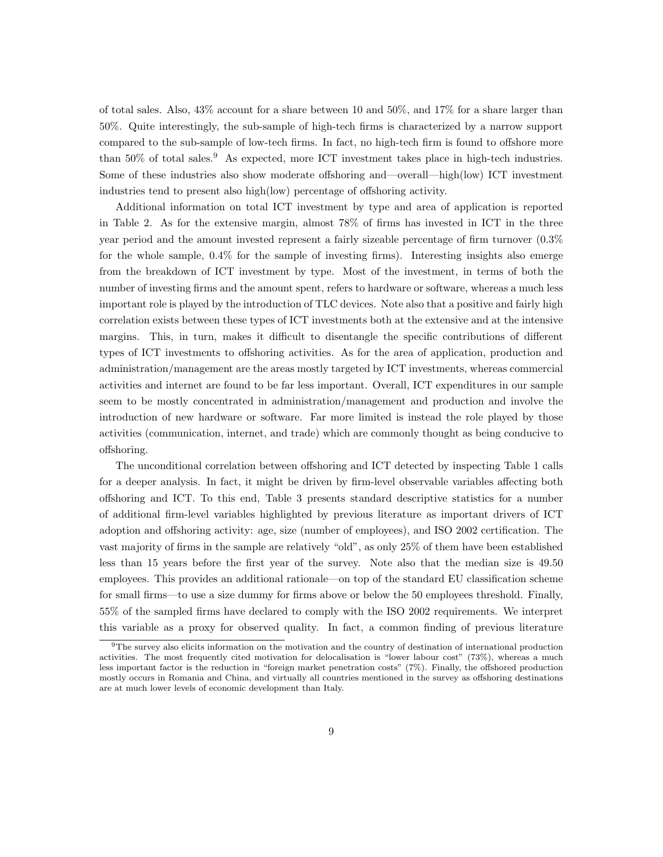of total sales. Also, 43% account for a share between 10 and 50%, and 17% for a share larger than 50%. Quite interestingly, the sub-sample of high-tech firms is characterized by a narrow support compared to the sub-sample of low-tech firms. In fact, no high-tech firm is found to offshore more than  $50\%$  of total sales.<sup>9</sup> As expected, more ICT investment takes place in high-tech industries. Some of these industries also show moderate offshoring and—overall—high(low) ICT investment industries tend to present also high(low) percentage of offshoring activity.

Additional information on total ICT investment by type and area of application is reported in Table 2. As for the extensive margin, almost 78% of firms has invested in ICT in the three year period and the amount invested represent a fairly sizeable percentage of firm turnover (0.3% for the whole sample, 0.4% for the sample of investing firms). Interesting insights also emerge from the breakdown of ICT investment by type. Most of the investment, in terms of both the number of investing firms and the amount spent, refers to hardware or software, whereas a much less important role is played by the introduction of TLC devices. Note also that a positive and fairly high correlation exists between these types of ICT investments both at the extensive and at the intensive margins. This, in turn, makes it difficult to disentangle the specific contributions of different types of ICT investments to offshoring activities. As for the area of application, production and administration/management are the areas mostly targeted by ICT investments, whereas commercial activities and internet are found to be far less important. Overall, ICT expenditures in our sample seem to be mostly concentrated in administration/management and production and involve the introduction of new hardware or software. Far more limited is instead the role played by those activities (communication, internet, and trade) which are commonly thought as being conducive to offshoring.

The unconditional correlation between offshoring and ICT detected by inspecting Table 1 calls for a deeper analysis. In fact, it might be driven by firm-level observable variables affecting both offshoring and ICT. To this end, Table 3 presents standard descriptive statistics for a number of additional firm-level variables highlighted by previous literature as important drivers of ICT adoption and offshoring activity: age, size (number of employees), and ISO 2002 certification. The vast majority of firms in the sample are relatively "old", as only 25% of them have been established less than 15 years before the first year of the survey. Note also that the median size is 49.50 employees. This provides an additional rationale—on top of the standard EU classification scheme for small firms—to use a size dummy for firms above or below the 50 employees threshold. Finally, 55% of the sampled firms have declared to comply with the ISO 2002 requirements. We interpret this variable as a proxy for observed quality. In fact, a common finding of previous literature

<sup>&</sup>lt;sup>9</sup>The survey also elicits information on the motivation and the country of destination of international production activities. The most frequently cited motivation for delocalisation is "lower labour cost" (73%), whereas a much less important factor is the reduction in "foreign market penetration costs" (7%). Finally, the offshored production mostly occurs in Romania and China, and virtually all countries mentioned in the survey as offshoring destinations are at much lower levels of economic development than Italy.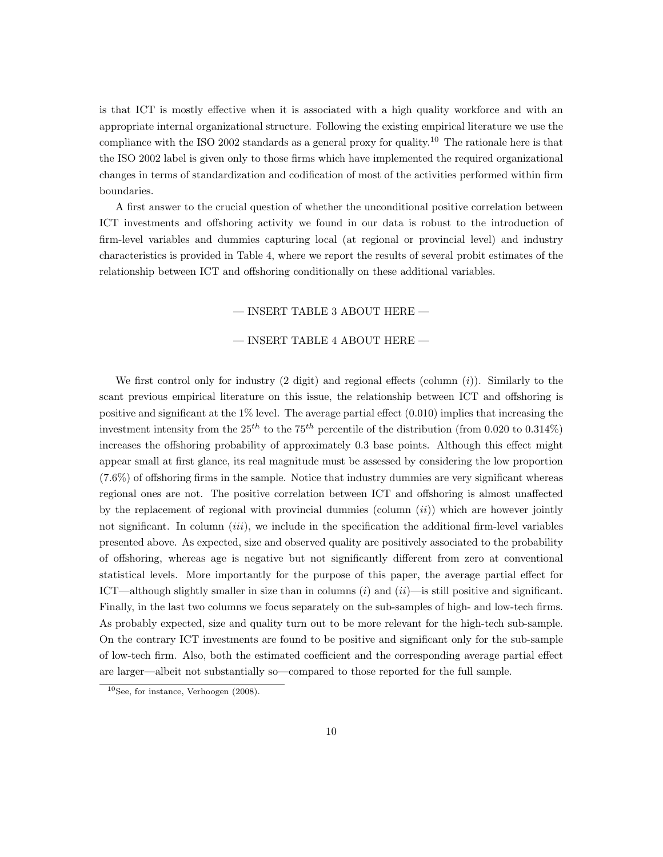is that ICT is mostly effective when it is associated with a high quality workforce and with an appropriate internal organizational structure. Following the existing empirical literature we use the compliance with the ISO 2002 standards as a general proxy for quality.<sup>10</sup> The rationale here is that the ISO 2002 label is given only to those firms which have implemented the required organizational changes in terms of standardization and codification of most of the activities performed within firm boundaries.

A first answer to the crucial question of whether the unconditional positive correlation between ICT investments and offshoring activity we found in our data is robust to the introduction of firm-level variables and dummies capturing local (at regional or provincial level) and industry characteristics is provided in Table 4, where we report the results of several probit estimates of the relationship between ICT and offshoring conditionally on these additional variables.

— INSERT TABLE 3 ABOUT HERE —

#### $-$  INSERT TABLE 4 ABOUT HERE  $-$

We first control only for industry  $(2 \text{ digit})$  and regional effects (column  $(i)$ ). Similarly to the scant previous empirical literature on this issue, the relationship between ICT and offshoring is positive and significant at the 1% level. The average partial effect (0.010) implies that increasing the investment intensity from the  $25^{th}$  to the  $75^{th}$  percentile of the distribution (from 0.020 to 0.314%) increases the offshoring probability of approximately 0.3 base points. Although this effect might appear small at first glance, its real magnitude must be assessed by considering the low proportion (7.6%) of offshoring firms in the sample. Notice that industry dummies are very significant whereas regional ones are not. The positive correlation between ICT and offshoring is almost unaffected by the replacement of regional with provincial dummies (column  $(ii)$ ) which are however jointly not significant. In column  $(iii)$ , we include in the specification the additional firm-level variables presented above. As expected, size and observed quality are positively associated to the probability of offshoring, whereas age is negative but not significantly different from zero at conventional statistical levels. More importantly for the purpose of this paper, the average partial effect for ICT—although slightly smaller in size than in columns  $(i)$  and  $(ii)$ —is still positive and significant. Finally, in the last two columns we focus separately on the sub-samples of high- and low-tech firms. As probably expected, size and quality turn out to be more relevant for the high-tech sub-sample. On the contrary ICT investments are found to be positive and significant only for the sub-sample of low-tech firm. Also, both the estimated coefficient and the corresponding average partial effect are larger—albeit not substantially so—compared to those reported for the full sample.

<sup>10</sup>See, for instance, Verhoogen (2008).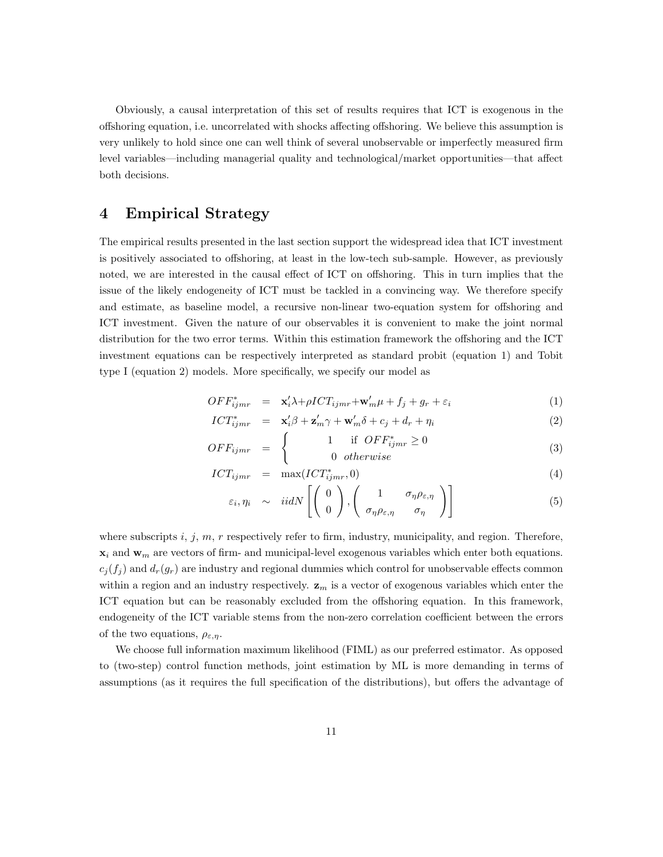Obviously, a causal interpretation of this set of results requires that ICT is exogenous in the offshoring equation, i.e. uncorrelated with shocks affecting offshoring. We believe this assumption is very unlikely to hold since one can well think of several unobservable or imperfectly measured firm level variables—including managerial quality and technological/market opportunities—that affect both decisions.

## 4 Empirical Strategy

The empirical results presented in the last section support the widespread idea that ICT investment is positively associated to offshoring, at least in the low-tech sub-sample. However, as previously noted, we are interested in the causal effect of ICT on offshoring. This in turn implies that the issue of the likely endogeneity of ICT must be tackled in a convincing way. We therefore specify and estimate, as baseline model, a recursive non-linear two-equation system for offshoring and ICT investment. Given the nature of our observables it is convenient to make the joint normal distribution for the two error terms. Within this estimation framework the offshoring and the ICT investment equations can be respectively interpreted as standard probit (equation 1) and Tobit type I (equation 2) models. More specifically, we specify our model as

$$
OFF_{ijmr}^* = \mathbf{x}_i' \lambda + \rho ICT_{ijmr} + \mathbf{w}_m' \mu + f_j + g_r + \varepsilon_i \tag{1}
$$

$$
ICT_{ijmr}^* = \mathbf{x}_i' \boldsymbol{\beta} + \mathbf{z}_m' \boldsymbol{\gamma} + \mathbf{w}_m' \boldsymbol{\delta} + c_j + d_r + \eta_i
$$
 (2)

$$
OFF_{ijmr} = \begin{cases} 1 & \text{if } OFF^*_{ijmr} \ge 0\\ 0 & otherwise \end{cases}
$$
 (3)

$$
ICT_{ijmr} = \max(ICT_{ijmr}^*, 0)
$$
\n(4)

$$
\varepsilon_i, \eta_i \sim \operatorname{iidN}\left[\left(\begin{array}{c} 0\\0 \end{array}\right), \left(\begin{array}{cc} 1 & \sigma_\eta \rho_{\varepsilon,\eta}\\ \sigma_\eta \rho_{\varepsilon,\eta} & \sigma_\eta \end{array}\right)\right] \tag{5}
$$

where subscripts  $i, j, m, r$  respectively refer to firm, industry, municipality, and region. Therefore,  $x_i$  and  $w_m$  are vectors of firm- and municipal-level exogenous variables which enter both equations.  $c_j(f_i)$  and  $d_r(g_r)$  are industry and regional dummies which control for unobservable effects common within a region and an industry respectively.  $z_m$  is a vector of exogenous variables which enter the ICT equation but can be reasonably excluded from the offshoring equation. In this framework, endogeneity of the ICT variable stems from the non-zero correlation coefficient between the errors of the two equations,  $\rho_{\varepsilon,n}$ .

We choose full information maximum likelihood (FIML) as our preferred estimator. As opposed to (two-step) control function methods, joint estimation by ML is more demanding in terms of assumptions (as it requires the full specification of the distributions), but offers the advantage of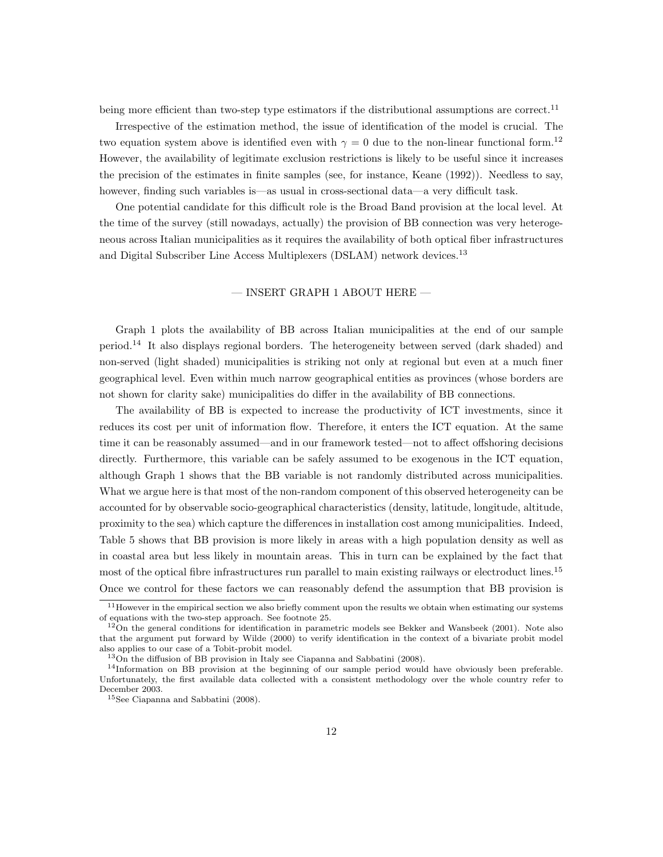being more efficient than two-step type estimators if the distributional assumptions are correct.<sup>11</sup>

Irrespective of the estimation method, the issue of identification of the model is crucial. The two equation system above is identified even with  $\gamma = 0$  due to the non-linear functional form.<sup>12</sup> However, the availability of legitimate exclusion restrictions is likely to be useful since it increases the precision of the estimates in finite samples (see, for instance, Keane (1992)). Needless to say, however, finding such variables is—as usual in cross-sectional data—a very difficult task.

One potential candidate for this difficult role is the Broad Band provision at the local level. At the time of the survey (still nowadays, actually) the provision of BB connection was very heterogeneous across Italian municipalities as it requires the availability of both optical fiber infrastructures and Digital Subscriber Line Access Multiplexers (DSLAM) network devices.<sup>13</sup>

#### $-$  INSERT GRAPH 1 ABOUT HERE  $-$

Graph 1 plots the availability of BB across Italian municipalities at the end of our sample period.<sup>14</sup> It also displays regional borders. The heterogeneity between served (dark shaded) and non-served (light shaded) municipalities is striking not only at regional but even at a much finer geographical level. Even within much narrow geographical entities as provinces (whose borders are not shown for clarity sake) municipalities do differ in the availability of BB connections.

The availability of BB is expected to increase the productivity of ICT investments, since it reduces its cost per unit of information flow. Therefore, it enters the ICT equation. At the same time it can be reasonably assumed—and in our framework tested—not to affect offshoring decisions directly. Furthermore, this variable can be safely assumed to be exogenous in the ICT equation, although Graph 1 shows that the BB variable is not randomly distributed across municipalities. What we argue here is that most of the non-random component of this observed heterogeneity can be accounted for by observable socio-geographical characteristics (density, latitude, longitude, altitude, proximity to the sea) which capture the differences in installation cost among municipalities. Indeed, Table 5 shows that BB provision is more likely in areas with a high population density as well as in coastal area but less likely in mountain areas. This in turn can be explained by the fact that most of the optical fibre infrastructures run parallel to main existing railways or electroduct lines.<sup>15</sup> Once we control for these factors we can reasonably defend the assumption that BB provision is

 $11$  However in the empirical section we also briefly comment upon the results we obtain when estimating our systems of equations with the two-step approach. See footnote 25.

 $12$ On the general conditions for identification in parametric models see Bekker and Wansbeek (2001). Note also that the argument put forward by Wilde (2000) to verify identification in the context of a bivariate probit model also applies to our case of a Tobit-probit model.

<sup>13</sup>On the diffusion of BB provision in Italy see Ciapanna and Sabbatini (2008).

<sup>&</sup>lt;sup>14</sup>Information on BB provision at the beginning of our sample period would have obviously been preferable. Unfortunately, the first available data collected with a consistent methodology over the whole country refer to December 2003.

<sup>15</sup>See Ciapanna and Sabbatini (2008).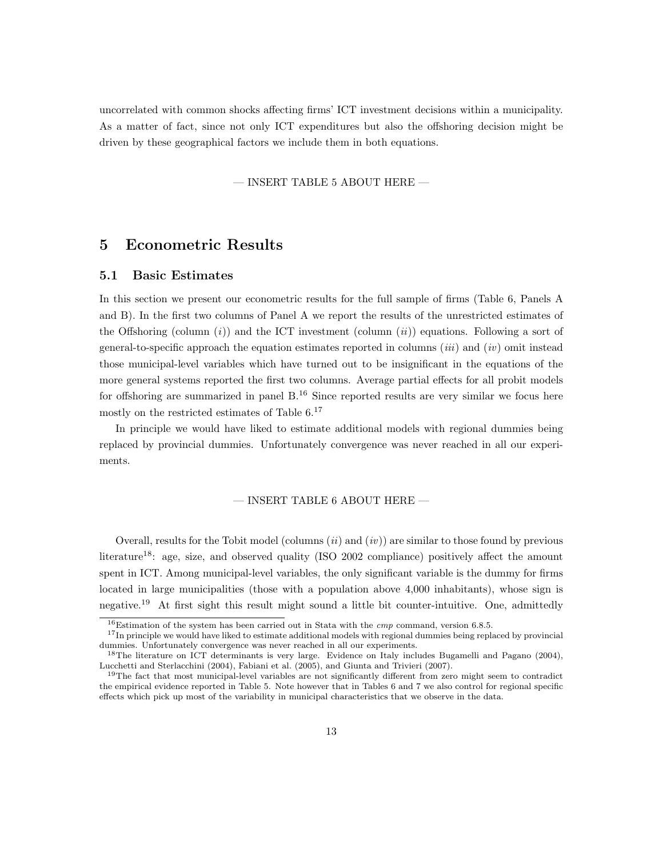uncorrelated with common shocks affecting firms' ICT investment decisions within a municipality. As a matter of fact, since not only ICT expenditures but also the offshoring decision might be driven by these geographical factors we include them in both equations.

 $-$  INSERT TABLE 5 ABOUT HERE  $-$ 

### 5 Econometric Results

#### 5.1 Basic Estimates

In this section we present our econometric results for the full sample of firms (Table 6, Panels A and B). In the first two columns of Panel A we report the results of the unrestricted estimates of the Offshoring (column  $(i)$ ) and the ICT investment (column  $(ii)$ ) equations. Following a sort of general-to-specific approach the equation estimates reported in columns (*iii*) and (*iv*) omit instead those municipal-level variables which have turned out to be insignificant in the equations of the more general systems reported the first two columns. Average partial effects for all probit models for offshoring are summarized in panel  $B<sup>16</sup>$  Since reported results are very similar we focus here mostly on the restricted estimates of Table  $6<sup>17</sup>$ 

In principle we would have liked to estimate additional models with regional dummies being replaced by provincial dummies. Unfortunately convergence was never reached in all our experiments.

#### $-$  INSERT TABLE 6 ABOUT HERE  $-$

Overall, results for the Tobit model (columns  $(ii)$  and  $(iv)$ ) are similar to those found by previous literature<sup>18</sup>: age, size, and observed quality (ISO 2002 compliance) positively affect the amount spent in ICT. Among municipal-level variables, the only significant variable is the dummy for firms located in large municipalities (those with a population above 4,000 inhabitants), whose sign is negative.<sup>19</sup> At first sight this result might sound a little bit counter-intuitive. One, admittedly

 $16$ Estimation of the system has been carried out in Stata with the *cmp* command, version 6.8.5.

 $17$ In principle we would have liked to estimate additional models with regional dummies being replaced by provincial dummies. Unfortunately convergence was never reached in all our experiments.

<sup>18</sup>The literature on ICT determinants is very large. Evidence on Italy includes Bugamelli and Pagano (2004), Lucchetti and Sterlacchini (2004), Fabiani et al. (2005), and Giunta and Trivieri (2007).

 $19$ The fact that most municipal-level variables are not significantly different from zero might seem to contradict the empirical evidence reported in Table 5. Note however that in Tables 6 and 7 we also control for regional specific effects which pick up most of the variability in municipal characteristics that we observe in the data.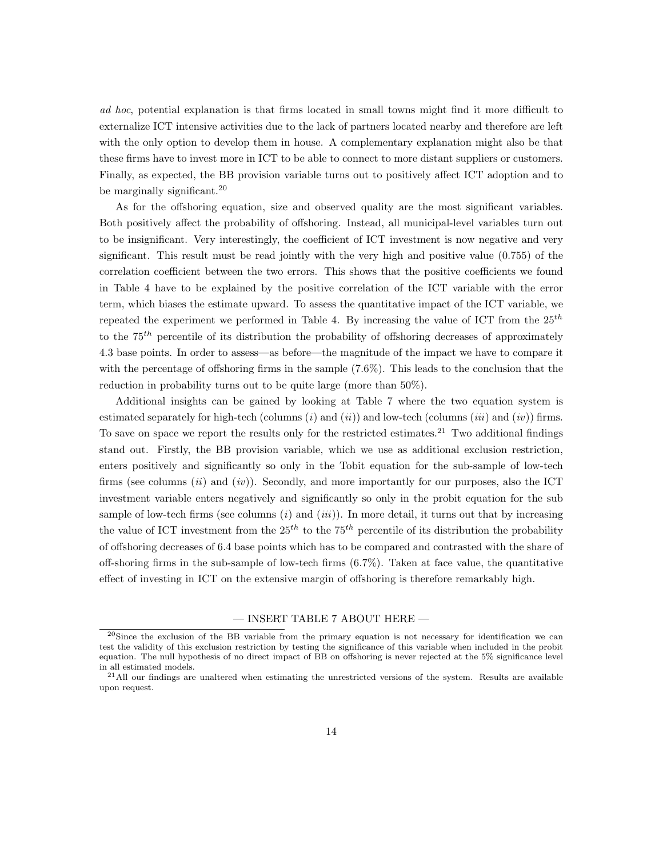ad hoc, potential explanation is that firms located in small towns might find it more difficult to externalize ICT intensive activities due to the lack of partners located nearby and therefore are left with the only option to develop them in house. A complementary explanation might also be that these firms have to invest more in ICT to be able to connect to more distant suppliers or customers. Finally, as expected, the BB provision variable turns out to positively affect ICT adoption and to be marginally significant.<sup>20</sup>

As for the offshoring equation, size and observed quality are the most significant variables. Both positively affect the probability of offshoring. Instead, all municipal-level variables turn out to be insignificant. Very interestingly, the coefficient of ICT investment is now negative and very significant. This result must be read jointly with the very high and positive value (0.755) of the correlation coefficient between the two errors. This shows that the positive coefficients we found in Table 4 have to be explained by the positive correlation of the ICT variable with the error term, which biases the estimate upward. To assess the quantitative impact of the ICT variable, we repeated the experiment we performed in Table 4. By increasing the value of ICT from the  $25^{th}$ to the  $75<sup>th</sup>$  percentile of its distribution the probability of offshoring decreases of approximately 4.3 base points. In order to assess—as before—the magnitude of the impact we have to compare it with the percentage of offshoring firms in the sample (7.6%). This leads to the conclusion that the reduction in probability turns out to be quite large (more than 50%).

Additional insights can be gained by looking at Table 7 where the two equation system is estimated separately for high-tech (columns  $(i)$  and  $(ii)$ ) and low-tech (columns  $(iii)$  and  $(iv)$ ) firms. To save on space we report the results only for the restricted estimates.<sup>21</sup> Two additional findings stand out. Firstly, the BB provision variable, which we use as additional exclusion restriction, enters positively and significantly so only in the Tobit equation for the sub-sample of low-tech firms (see columns  $(ii)$  and  $(iv)$ ). Secondly, and more importantly for our purposes, also the ICT investment variable enters negatively and significantly so only in the probit equation for the sub sample of low-tech firms (see columns  $(i)$  and  $(iii)$ ). In more detail, it turns out that by increasing the value of ICT investment from the  $25^{th}$  to the  $75^{th}$  percentile of its distribution the probability of offshoring decreases of 6.4 base points which has to be compared and contrasted with the share of off-shoring firms in the sub-sample of low-tech firms  $(6.7\%)$ . Taken at face value, the quantitative effect of investing in ICT on the extensive margin of offshoring is therefore remarkably high.

#### — INSERT TABLE 7 ABOUT HERE —

<sup>&</sup>lt;sup>20</sup>Since the exclusion of the BB variable from the primary equation is not necessary for identification we can test the validity of this exclusion restriction by testing the significance of this variable when included in the probit equation. The null hypothesis of no direct impact of BB on offshoring is never rejected at the 5% significance level in all estimated models.

 $^{21}$ All our findings are unaltered when estimating the unrestricted versions of the system. Results are available upon request.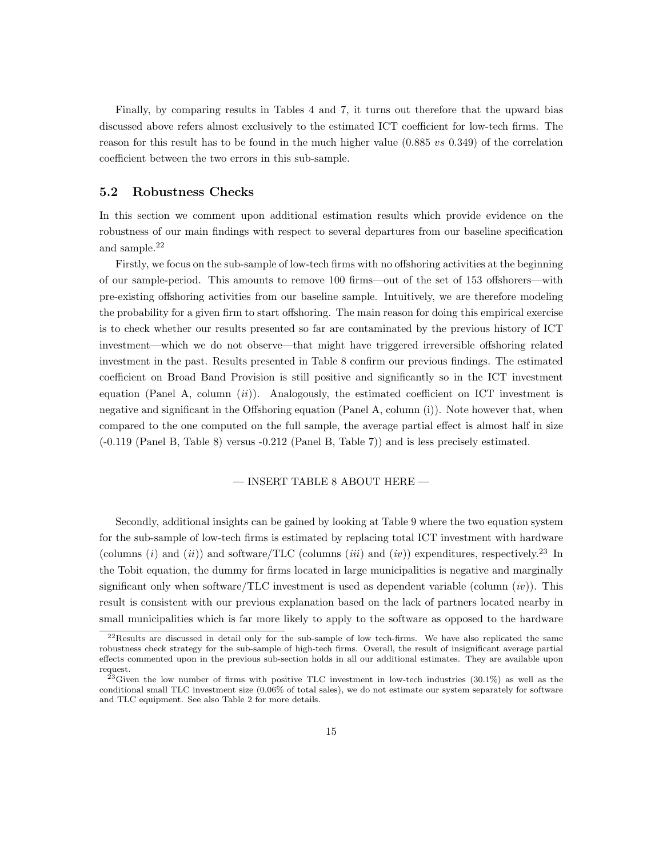Finally, by comparing results in Tables 4 and 7, it turns out therefore that the upward bias discussed above refers almost exclusively to the estimated ICT coefficient for low-tech firms. The reason for this result has to be found in the much higher value  $(0.885 \text{ vs } 0.349)$  of the correlation coefficient between the two errors in this sub-sample.

#### 5.2 Robustness Checks

In this section we comment upon additional estimation results which provide evidence on the robustness of our main findings with respect to several departures from our baseline specification and sample.<sup>22</sup>

Firstly, we focus on the sub-sample of low-tech firms with no offshoring activities at the beginning of our sample-period. This amounts to remove 100 firms—out of the set of 153 offshorers—with pre-existing offshoring activities from our baseline sample. Intuitively, we are therefore modeling the probability for a given firm to start offshoring. The main reason for doing this empirical exercise is to check whether our results presented so far are contaminated by the previous history of ICT investment—which we do not observe—that might have triggered irreversible offshoring related investment in the past. Results presented in Table 8 confirm our previous findings. The estimated coefficient on Broad Band Provision is still positive and significantly so in the ICT investment equation (Panel A, column  $(ii)$ ). Analogously, the estimated coefficient on ICT investment is negative and significant in the Offshoring equation (Panel A, column (i)). Note however that, when compared to the one computed on the full sample, the average partial effect is almost half in size (-0.119 (Panel B, Table 8) versus -0.212 (Panel B, Table 7)) and is less precisely estimated.

#### $-$  INSERT TABLE 8 ABOUT HERE  $-$

Secondly, additional insights can be gained by looking at Table 9 where the two equation system for the sub-sample of low-tech firms is estimated by replacing total ICT investment with hardware (columns  $(i)$  and  $(ii)$ ) and software/TLC (columns  $(iii)$  and  $(iv)$ ) expenditures, respectively.<sup>23</sup> In the Tobit equation, the dummy for firms located in large municipalities is negative and marginally significant only when software/TLC investment is used as dependent variable (column  $(iv)$ ). This result is consistent with our previous explanation based on the lack of partners located nearby in small municipalities which is far more likely to apply to the software as opposed to the hardware

<sup>22</sup>Results are discussed in detail only for the sub-sample of low tech-firms. We have also replicated the same robustness check strategy for the sub-sample of high-tech firms. Overall, the result of insignificant average partial effects commented upon in the previous sub-section holds in all our additional estimates. They are available upon request.

 $^{23}$ Given the low number of firms with positive TLC investment in low-tech industries (30.1%) as well as the conditional small TLC investment size (0.06% of total sales), we do not estimate our system separately for software and TLC equipment. See also Table 2 for more details.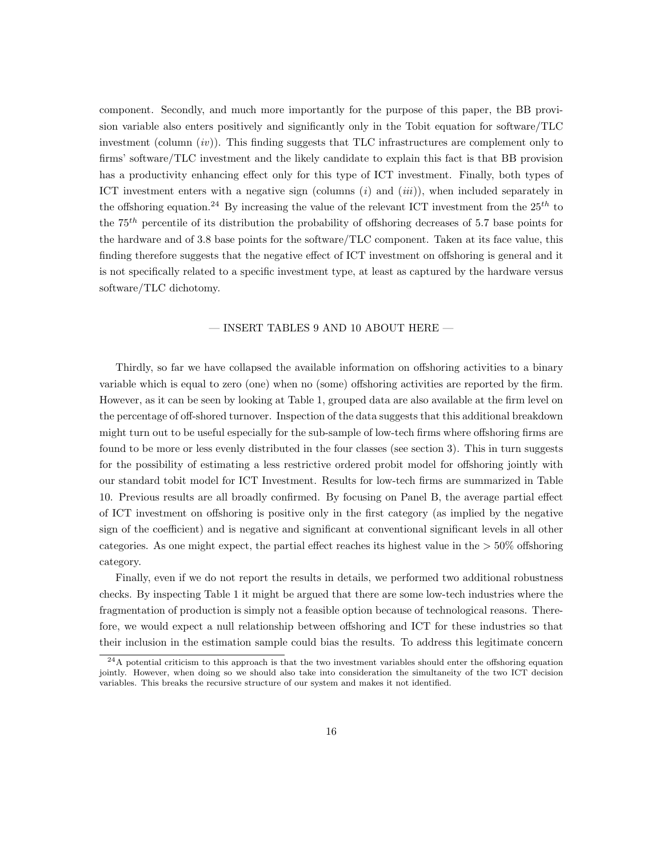component. Secondly, and much more importantly for the purpose of this paper, the BB provision variable also enters positively and significantly only in the Tobit equation for software/TLC investment (column  $(iv)$ ). This finding suggests that TLC infrastructures are complement only to firms' software/TLC investment and the likely candidate to explain this fact is that BB provision has a productivity enhancing effect only for this type of ICT investment. Finally, both types of ICT investment enters with a negative sign (columns  $(i)$  and  $(iii)$ ), when included separately in the offshoring equation.<sup>24</sup> By increasing the value of the relevant ICT investment from the  $25^{th}$  to the  $75<sup>th</sup>$  percentile of its distribution the probability of offshoring decreases of 5.7 base points for the hardware and of 3.8 base points for the software/TLC component. Taken at its face value, this finding therefore suggests that the negative effect of ICT investment on offshoring is general and it is not specifically related to a specific investment type, at least as captured by the hardware versus software/TLC dichotomy.

#### — INSERT TABLES 9 AND 10 ABOUT HERE —

Thirdly, so far we have collapsed the available information on offshoring activities to a binary variable which is equal to zero (one) when no (some) offshoring activities are reported by the firm. However, as it can be seen by looking at Table 1, grouped data are also available at the firm level on the percentage of off-shored turnover. Inspection of the data suggests that this additional breakdown might turn out to be useful especially for the sub-sample of low-tech firms where offshoring firms are found to be more or less evenly distributed in the four classes (see section 3). This in turn suggests for the possibility of estimating a less restrictive ordered probit model for offshoring jointly with our standard tobit model for ICT Investment. Results for low-tech firms are summarized in Table 10. Previous results are all broadly confirmed. By focusing on Panel B, the average partial effect of ICT investment on offshoring is positive only in the first category (as implied by the negative sign of the coefficient) and is negative and significant at conventional significant levels in all other categories. As one might expect, the partial effect reaches its highest value in the  $>50\%$  offshoring category.

Finally, even if we do not report the results in details, we performed two additional robustness checks. By inspecting Table 1 it might be argued that there are some low-tech industries where the fragmentation of production is simply not a feasible option because of technological reasons. Therefore, we would expect a null relationship between offshoring and ICT for these industries so that their inclusion in the estimation sample could bias the results. To address this legitimate concern

<sup>24</sup>A potential criticism to this approach is that the two investment variables should enter the offshoring equation jointly. However, when doing so we should also take into consideration the simultaneity of the two ICT decision variables. This breaks the recursive structure of our system and makes it not identified.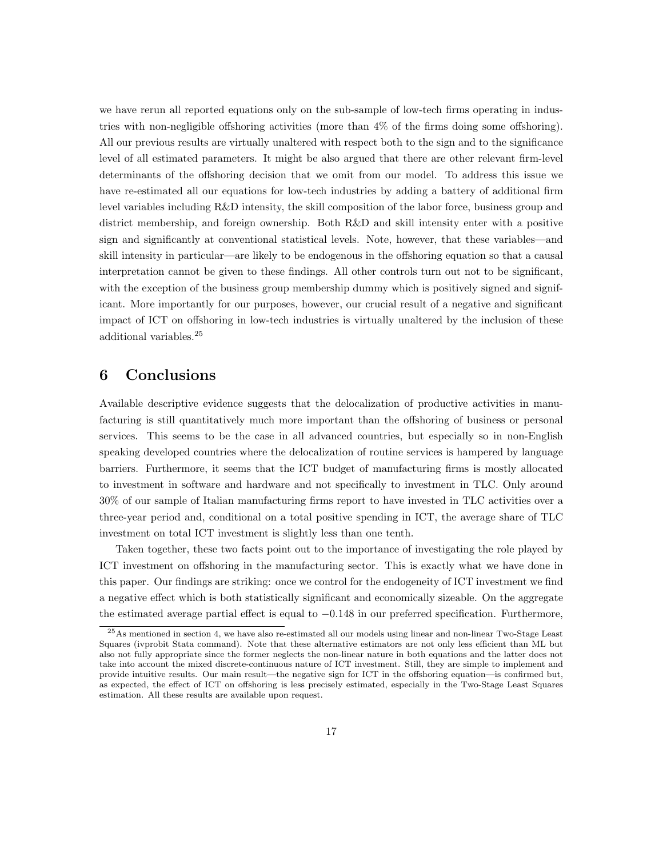we have rerun all reported equations only on the sub-sample of low-tech firms operating in industries with non-negligible offshoring activities (more than 4% of the firms doing some offshoring). All our previous results are virtually unaltered with respect both to the sign and to the significance level of all estimated parameters. It might be also argued that there are other relevant firm-level determinants of the offshoring decision that we omit from our model. To address this issue we have re-estimated all our equations for low-tech industries by adding a battery of additional firm level variables including R&D intensity, the skill composition of the labor force, business group and district membership, and foreign ownership. Both R&D and skill intensity enter with a positive sign and significantly at conventional statistical levels. Note, however, that these variables—and skill intensity in particular—are likely to be endogenous in the offshoring equation so that a causal interpretation cannot be given to these findings. All other controls turn out not to be significant, with the exception of the business group membership dummy which is positively signed and significant. More importantly for our purposes, however, our crucial result of a negative and significant impact of ICT on offshoring in low-tech industries is virtually unaltered by the inclusion of these additional variables.<sup>25</sup>

### 6 Conclusions

Available descriptive evidence suggests that the delocalization of productive activities in manufacturing is still quantitatively much more important than the offshoring of business or personal services. This seems to be the case in all advanced countries, but especially so in non-English speaking developed countries where the delocalization of routine services is hampered by language barriers. Furthermore, it seems that the ICT budget of manufacturing firms is mostly allocated to investment in software and hardware and not specifically to investment in TLC. Only around 30% of our sample of Italian manufacturing firms report to have invested in TLC activities over a three-year period and, conditional on a total positive spending in ICT, the average share of TLC investment on total ICT investment is slightly less than one tenth.

Taken together, these two facts point out to the importance of investigating the role played by ICT investment on offshoring in the manufacturing sector. This is exactly what we have done in this paper. Our findings are striking: once we control for the endogeneity of ICT investment we find a negative effect which is both statistically significant and economically sizeable. On the aggregate the estimated average partial effect is equal to −0.148 in our preferred specification. Furthermore,

<sup>&</sup>lt;sup>25</sup>As mentioned in section 4, we have also re-estimated all our models using linear and non-linear Two-Stage Least Squares (ivprobit Stata command). Note that these alternative estimators are not only less efficient than ML but also not fully appropriate since the former neglects the non-linear nature in both equations and the latter does not take into account the mixed discrete-continuous nature of ICT investment. Still, they are simple to implement and provide intuitive results. Our main result—the negative sign for ICT in the offshoring equation—is confirmed but, as expected, the effect of ICT on offshoring is less precisely estimated, especially in the Two-Stage Least Squares estimation. All these results are available upon request.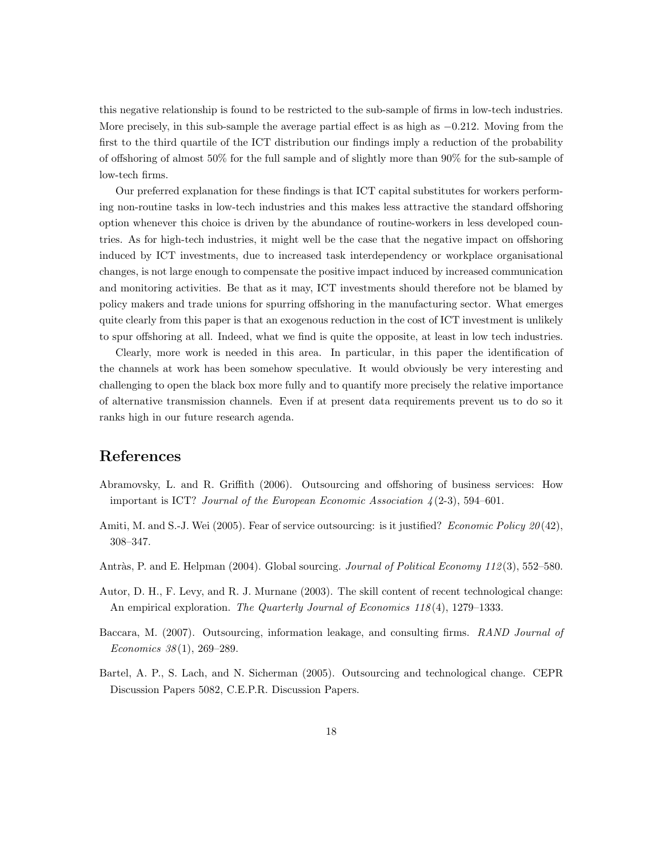this negative relationship is found to be restricted to the sub-sample of firms in low-tech industries. More precisely, in this sub-sample the average partial effect is as high as −0.212. Moving from the first to the third quartile of the ICT distribution our findings imply a reduction of the probability of offshoring of almost 50% for the full sample and of slightly more than 90% for the sub-sample of low-tech firms.

Our preferred explanation for these findings is that ICT capital substitutes for workers performing non-routine tasks in low-tech industries and this makes less attractive the standard offshoring option whenever this choice is driven by the abundance of routine-workers in less developed countries. As for high-tech industries, it might well be the case that the negative impact on offshoring induced by ICT investments, due to increased task interdependency or workplace organisational changes, is not large enough to compensate the positive impact induced by increased communication and monitoring activities. Be that as it may, ICT investments should therefore not be blamed by policy makers and trade unions for spurring offshoring in the manufacturing sector. What emerges quite clearly from this paper is that an exogenous reduction in the cost of ICT investment is unlikely to spur offshoring at all. Indeed, what we find is quite the opposite, at least in low tech industries.

Clearly, more work is needed in this area. In particular, in this paper the identification of the channels at work has been somehow speculative. It would obviously be very interesting and challenging to open the black box more fully and to quantify more precisely the relative importance of alternative transmission channels. Even if at present data requirements prevent us to do so it ranks high in our future research agenda.

### References

- Abramovsky, L. and R. Griffith (2006). Outsourcing and offshoring of business services: How important is ICT? Journal of the European Economic Association  $\frac{1}{2}$ (2-3), 594–601.
- Amiti, M. and S.-J. Wei (2005). Fear of service outsourcing: is it justified? Economic Policy 20(42), 308–347.
- Antràs, P. and E. Helpman (2004). Global sourcing. *Journal of Political Economy 112* (3), 552–580.
- Autor, D. H., F. Levy, and R. J. Murnane (2003). The skill content of recent technological change: An empirical exploration. The Quarterly Journal of Economics  $118(4)$ , 1279–1333.
- Baccara, M. (2007). Outsourcing, information leakage, and consulting firms. RAND Journal of Economics 38 (1), 269–289.
- Bartel, A. P., S. Lach, and N. Sicherman (2005). Outsourcing and technological change. CEPR Discussion Papers 5082, C.E.P.R. Discussion Papers.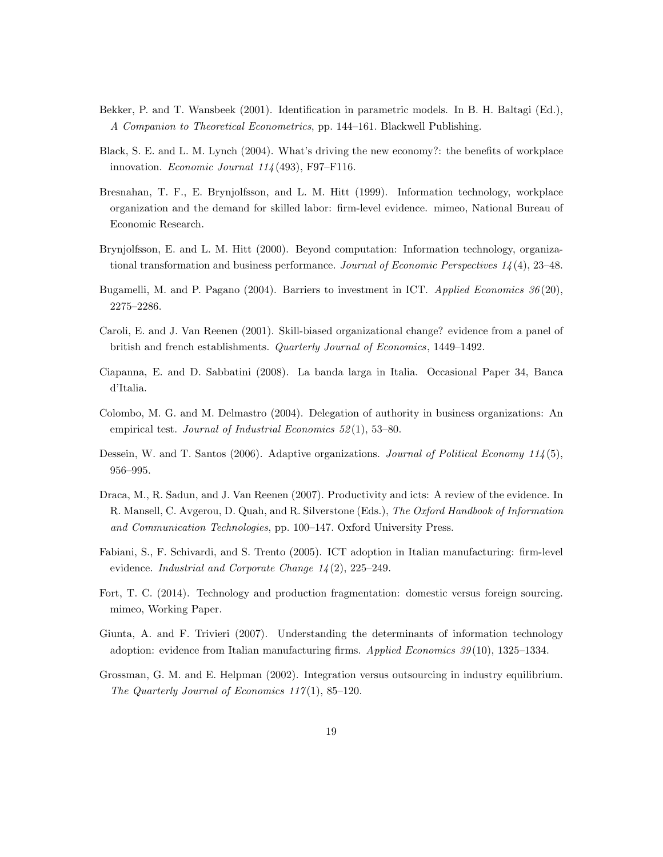- Bekker, P. and T. Wansbeek (2001). Identification in parametric models. In B. H. Baltagi (Ed.), A Companion to Theoretical Econometrics, pp. 144–161. Blackwell Publishing.
- Black, S. E. and L. M. Lynch (2004). What's driving the new economy?: the benefits of workplace innovation. Economic Journal 114 (493), F97–F116.
- Bresnahan, T. F., E. Brynjolfsson, and L. M. Hitt (1999). Information technology, workplace organization and the demand for skilled labor: firm-level evidence. mimeo, National Bureau of Economic Research.
- Brynjolfsson, E. and L. M. Hitt (2000). Beyond computation: Information technology, organizational transformation and business performance. Journal of Economic Perspectives  $1/4$  (4), 23–48.
- Bugamelli, M. and P. Pagano (2004). Barriers to investment in ICT. Applied Economics 36(20), 2275–2286.
- Caroli, E. and J. Van Reenen (2001). Skill-biased organizational change? evidence from a panel of british and french establishments. Quarterly Journal of Economics, 1449–1492.
- Ciapanna, E. and D. Sabbatini (2008). La banda larga in Italia. Occasional Paper 34, Banca d'Italia.
- Colombo, M. G. and M. Delmastro (2004). Delegation of authority in business organizations: An empirical test. Journal of Industrial Economics  $52(1)$ , 53-80.
- Dessein, W. and T. Santos (2006). Adaptive organizations. Journal of Political Economy 114(5), 956–995.
- Draca, M., R. Sadun, and J. Van Reenen (2007). Productivity and icts: A review of the evidence. In R. Mansell, C. Avgerou, D. Quah, and R. Silverstone (Eds.), The Oxford Handbook of Information and Communication Technologies, pp. 100–147. Oxford University Press.
- Fabiani, S., F. Schivardi, and S. Trento (2005). ICT adoption in Italian manufacturing: firm-level evidence. *Industrial and Corporate Change 14* (2), 225–249.
- Fort, T. C. (2014). Technology and production fragmentation: domestic versus foreign sourcing. mimeo, Working Paper.
- Giunta, A. and F. Trivieri (2007). Understanding the determinants of information technology adoption: evidence from Italian manufacturing firms. Applied Economics  $39(10)$ , 1325–1334.
- Grossman, G. M. and E. Helpman (2002). Integration versus outsourcing in industry equilibrium. The Quarterly Journal of Economics  $117(1)$ , 85-120.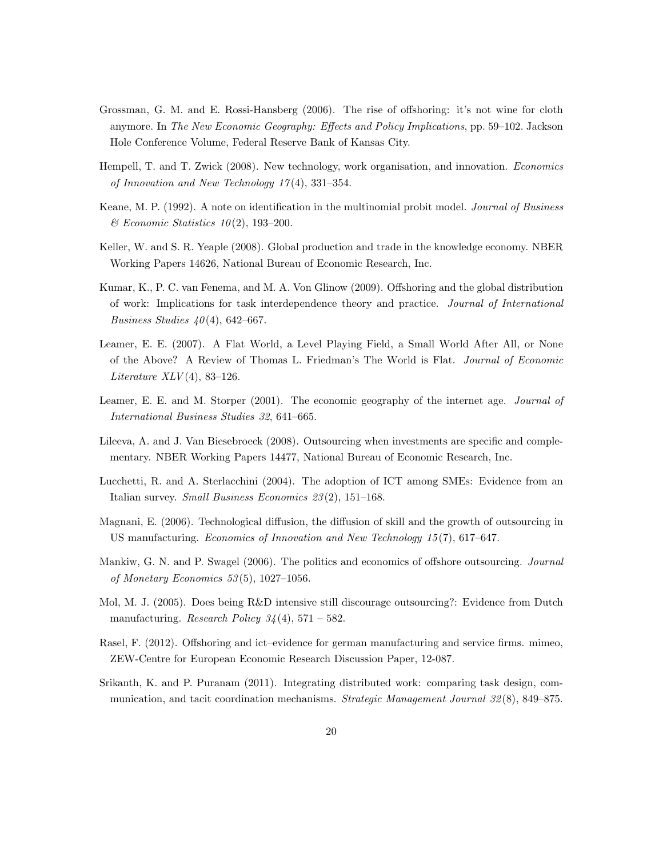- Grossman, G. M. and E. Rossi-Hansberg (2006). The rise of offshoring: it's not wine for cloth anymore. In The New Economic Geography: Effects and Policy Implications, pp. 59–102. Jackson Hole Conference Volume, Federal Reserve Bank of Kansas City.
- Hempell, T. and T. Zwick (2008). New technology, work organisation, and innovation. Economics of Innovation and New Technology  $17(4)$ , 331-354.
- Keane, M. P. (1992). A note on identification in the multinomial probit model. Journal of Business  $\mathcal B$  Economic Statistics 10(2), 193-200.
- Keller, W. and S. R. Yeaple (2008). Global production and trade in the knowledge economy. NBER Working Papers 14626, National Bureau of Economic Research, Inc.
- Kumar, K., P. C. van Fenema, and M. A. Von Glinow (2009). Offshoring and the global distribution of work: Implications for task interdependence theory and practice. Journal of International Business Studies  $40(4)$ , 642–667.
- Leamer, E. E. (2007). A Flat World, a Level Playing Field, a Small World After All, or None of the Above? A Review of Thomas L. Friedman's The World is Flat. Journal of Economic Literature  $XLV(4)$ , 83-126.
- Leamer, E. E. and M. Storper (2001). The economic geography of the internet age. Journal of International Business Studies 32, 641–665.
- Lileeva, A. and J. Van Biesebroeck (2008). Outsourcing when investments are specific and complementary. NBER Working Papers 14477, National Bureau of Economic Research, Inc.
- Lucchetti, R. and A. Sterlacchini (2004). The adoption of ICT among SMEs: Evidence from an Italian survey. Small Business Economics 23 (2), 151–168.
- Magnani, E. (2006). Technological diffusion, the diffusion of skill and the growth of outsourcing in US manufacturing. Economics of Innovation and New Technology 15 (7), 617–647.
- Mankiw, G. N. and P. Swagel (2006). The politics and economics of offshore outsourcing. *Journal* of Monetary Economics 53 (5), 1027–1056.
- Mol, M. J. (2005). Does being R&D intensive still discourage outsourcing?: Evidence from Dutch manufacturing. Research Policy  $34(4)$ , 571 – 582.
- Rasel, F. (2012). Offshoring and ict–evidence for german manufacturing and service firms. mimeo, ZEW-Centre for European Economic Research Discussion Paper, 12-087.
- Srikanth, K. and P. Puranam (2011). Integrating distributed work: comparing task design, communication, and tacit coordination mechanisms. *Strategic Management Journal 32(8)*, 849–875.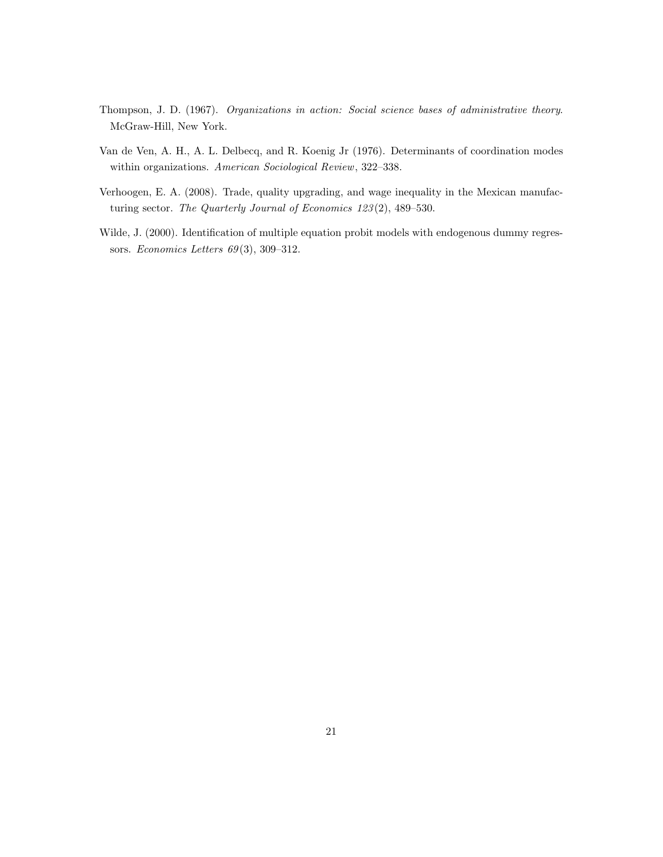- Thompson, J. D. (1967). Organizations in action: Social science bases of administrative theory. McGraw-Hill, New York.
- Van de Ven, A. H., A. L. Delbecq, and R. Koenig Jr (1976). Determinants of coordination modes within organizations. American Sociological Review, 322–338.
- Verhoogen, E. A. (2008). Trade, quality upgrading, and wage inequality in the Mexican manufacturing sector. The Quarterly Journal of Economics 123(2), 489-530.
- Wilde, J. (2000). Identification of multiple equation probit models with endogenous dummy regressors. Economics Letters 69 (3), 309–312.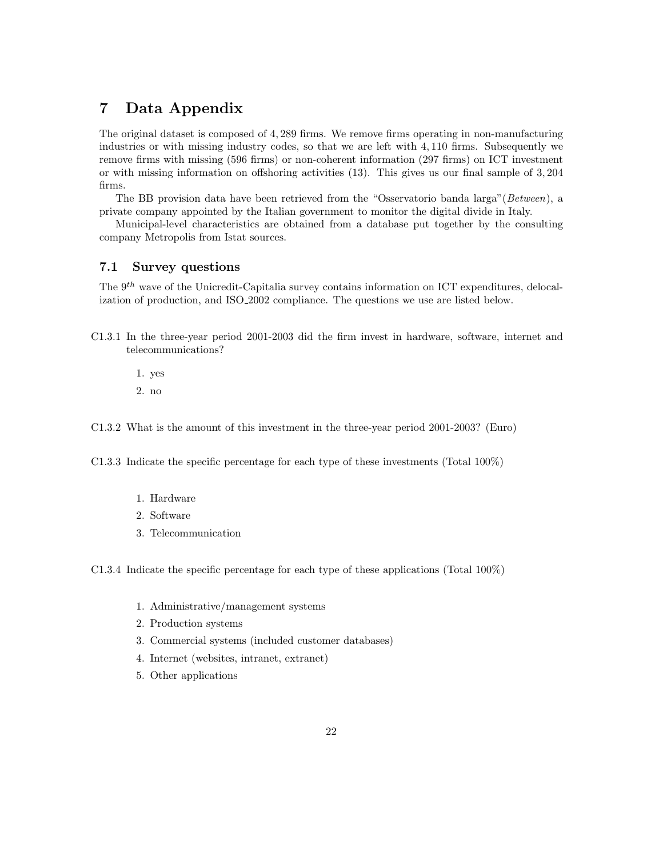## 7 Data Appendix

The original dataset is composed of 4, 289 firms. We remove firms operating in non-manufacturing industries or with missing industry codes, so that we are left with 4, 110 firms. Subsequently we remove firms with missing (596 firms) or non-coherent information (297 firms) on ICT investment or with missing information on offshoring activities (13). This gives us our final sample of 3, 204 firms.

The BB provision data have been retrieved from the "Osservatorio banda larga"(Between), a private company appointed by the Italian government to monitor the digital divide in Italy.

Municipal-level characteristics are obtained from a database put together by the consulting company Metropolis from Istat sources.

#### 7.1 Survey questions

The  $9<sup>th</sup>$  wave of the Unicredit-Capitalia survey contains information on ICT expenditures, delocalization of production, and ISO 2002 compliance. The questions we use are listed below.

C1.3.1 In the three-year period 2001-2003 did the firm invest in hardware, software, internet and telecommunications?

1. yes 2. no

C1.3.2 What is the amount of this investment in the three-year period 2001-2003? (Euro)

C1.3.3 Indicate the specific percentage for each type of these investments (Total 100%)

- 1. Hardware
- 2. Software
- 3. Telecommunication

C1.3.4 Indicate the specific percentage for each type of these applications (Total 100%)

- 1. Administrative/management systems
- 2. Production systems
- 3. Commercial systems (included customer databases)
- 4. Internet (websites, intranet, extranet)
- 5. Other applications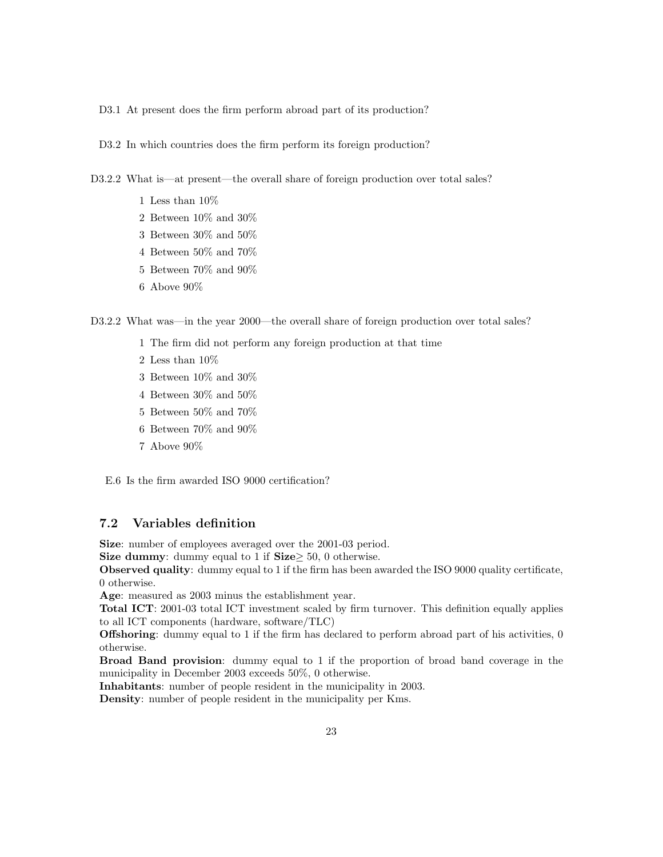D3.1 At present does the firm perform abroad part of its production?

D3.2 In which countries does the firm perform its foreign production?

D3.2.2 What is—at present—the overall share of foreign production over total sales?

- $1$  Less than  $10\%$
- 2 Between 10% and 30%
- 3 Between 30% and 50%
- 4 Between 50% and 70%
- 5 Between 70% and 90%
- $6\,$  Above  $90\%$

D3.2.2 What was—in the year 2000—the overall share of foreign production over total sales?

- 1 The firm did not perform any foreign production at that time
- 2 Less than 10%
- 3 Between 10% and 30%
- 4 Between 30% and 50%
- 5 Between 50% and 70%
- $6\,$  Between  $70\%$  and  $90\%$
- 7 Above 90%

E.6 Is the firm awarded ISO 9000 certification?

### 7.2 Variables definition

Size: number of employees averaged over the 2001-03 period.

Size dummy: dummy equal to 1 if Size $\geq$  50, 0 otherwise.

Observed quality: dummy equal to 1 if the firm has been awarded the ISO 9000 quality certificate, 0 otherwise.

Age: measured as 2003 minus the establishment year.

Total ICT: 2001-03 total ICT investment scaled by firm turnover. This definition equally applies to all ICT components (hardware, software/TLC)

Offshoring: dummy equal to 1 if the firm has declared to perform abroad part of his activities, 0 otherwise.

Broad Band provision: dummy equal to 1 if the proportion of broad band coverage in the municipality in December 2003 exceeds 50%, 0 otherwise.

Inhabitants: number of people resident in the municipality in 2003.

Density: number of people resident in the municipality per Kms.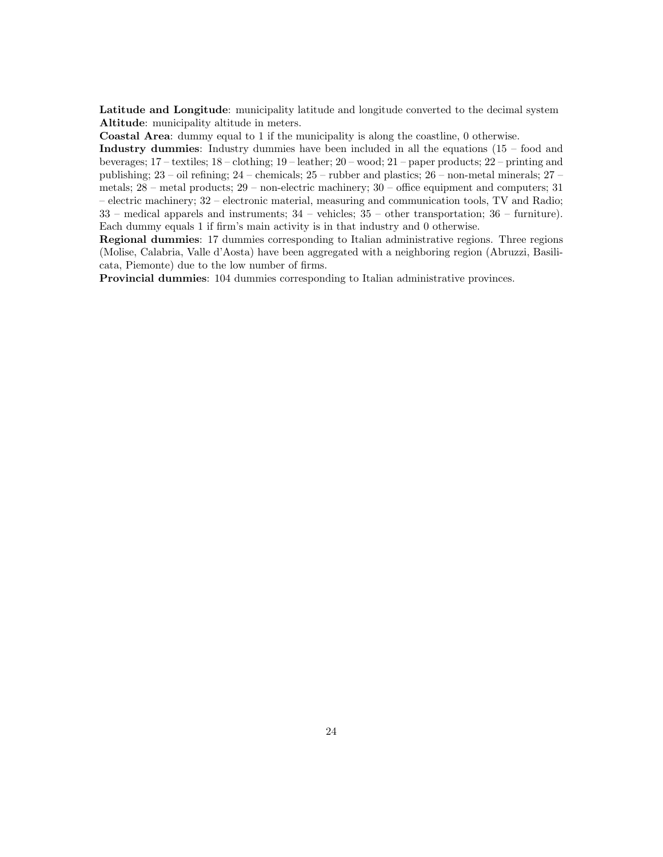Latitude and Longitude: municipality latitude and longitude converted to the decimal system Altitude: municipality altitude in meters.

Coastal Area: dummy equal to 1 if the municipality is along the coastline, 0 otherwise.

Industry dummies: Industry dummies have been included in all the equations  $(15 - food$  and beverages; 17 – textiles; 18 – clothing; 19 – leather; 20 – wood; 21 – paper products; 22 – printing and publishing; 23 – oil refining; 24 – chemicals; 25 – rubber and plastics; 26 – non-metal minerals; 27 – metals; 28 – metal products; 29 – non-electric machinery; 30 – office equipment and computers; 31 – electric machinery; 32 – electronic material, measuring and communication tools, TV and Radio; 33 – medical apparels and instruments; 34 – vehicles; 35 – other transportation; 36 – furniture). Each dummy equals 1 if firm's main activity is in that industry and 0 otherwise.

Regional dummies: 17 dummies corresponding to Italian administrative regions. Three regions (Molise, Calabria, Valle d'Aosta) have been aggregated with a neighboring region (Abruzzi, Basilicata, Piemonte) due to the low number of firms.

Provincial dummies: 104 dummies corresponding to Italian administrative provinces.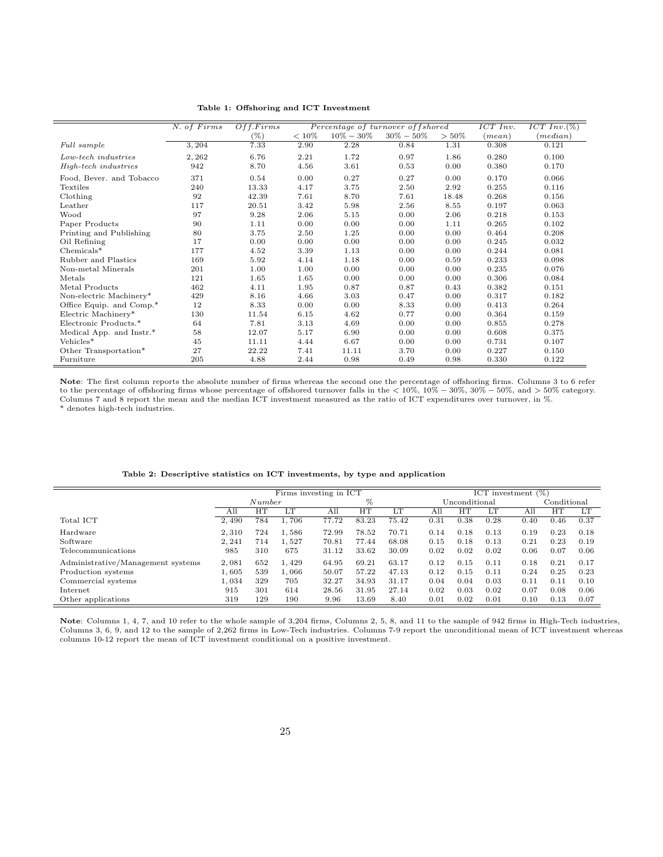Table 1: Offshoring and ICT Investment

|                          | N. of Firms | Off. Firms |          |               | Percentage of turnover of f shored |          | ICT Inv. | $ICT\ Inv. (\%)$ |
|--------------------------|-------------|------------|----------|---------------|------------------------------------|----------|----------|------------------|
|                          |             | $(\% )$    | $< 10\%$ | $10\% - 30\%$ | $30\% - 50\%$                      | $> 50\%$ | (mean)   | (median)         |
| Full sample              | 3,204       | 7.33       | 2.90     | 2.28          | 0.84                               | 1.31     | 0.308    | 0.121            |
| Low-tech industries      | 2, 262      | 6.76       | 2.21     | 1.72          | 0.97                               | 1.86     | 0.280    | 0.100            |
| High-tech industries     | 942         | 8.70       | 4.56     | 3.61          | 0.53                               | 0.00     | 0.380    | 0.170            |
| Food, Bever. and Tobacco | 371         | 0.54       | 0.00     | 0.27          | 0.27                               | 0.00     | 0.170    | 0.066            |
| Textiles                 | 240         | 13.33      | 4.17     | 3.75          | 2.50                               | 2.92     | 0.255    | 0.116            |
| Clothing                 | 92          | 42.39      | 7.61     | 8.70          | 7.61                               | 18.48    | 0.268    | 0.156            |
| Leather                  | 117         | 20.51      | 3.42     | 5.98          | 2.56                               | 8.55     | 0.197    | 0.063            |
| Wood                     | 97          | 9.28       | 2.06     | 5.15          | 0.00                               | 2.06     | 0.218    | 0.153            |
| Paper Products           | 90          | 1.11       | 0.00     | 0.00          | 0.00                               | 1.11     | 0.265    | 0.102            |
| Printing and Publishing  | 80          | 3.75       | 2.50     | 1.25          | 0.00                               | 0.00     | 0.464    | 0.208            |
| Oil Refining             | 17          | 0.00       | 0.00     | 0.00          | 0.00                               | 0.00     | 0.245    | 0.032            |
| $Chemicals*$             | 177         | 4.52       | 3.39     | 1.13          | 0.00                               | 0.00     | 0.244    | 0.081            |
| Rubber and Plastics      | 169         | 5.92       | 4.14     | 1.18          | 0.00                               | 0.59     | 0.233    | 0.098            |
| Non-metal Minerals       | 201         | 1.00       | 1.00     | 0.00          | 0.00                               | 0.00     | 0.235    | 0.076            |
| Metals                   | 121         | 1.65       | 1.65     | 0.00          | 0.00                               | 0.00     | 0.306    | 0.084            |
| Metal Products           | 462         | 4.11       | 1.95     | 0.87          | 0.87                               | 0.43     | 0.382    | 0.151            |
| Non-electric Machinery*  | 429         | 8.16       | 4.66     | 3.03          | 0.47                               | 0.00     | 0.317    | 0.182            |
| Office Equip. and Comp.* | 12          | 8.33       | 0.00     | 0.00          | 8.33                               | 0.00     | 0.413    | 0.264            |
| Electric Machinery*      | 130         | 11.54      | 6.15     | 4.62          | 0.77                               | 0.00     | 0.364    | 0.159            |
| Electronic Products.*    | 64          | 7.81       | 3.13     | 4.69          | 0.00                               | 0.00     | 0.855    | 0.278            |
| Medical App. and Instr.* | 58          | 12.07      | 5.17     | 6.90          | 0.00                               | 0.00     | 0.608    | 0.375            |
| Vehicles*                | 45          | 11.11      | 4.44     | 6.67          | 0.00                               | 0.00     | 0.731    | 0.107            |
| Other Transportation*    | 27          | 22.22      | 7.41     | 11.11         | 3.70                               | 0.00     | 0.227    | 0.150            |
| Furniture                | 205         | 4.88       | 2.44     | 0.98          | 0.49                               | 0.98     | 0.330    | 0.122            |

Note: The first column reports the absolute number of firms whereas the second one the percentage of offshoring firms. Columns 3 to 6 refer to the percentage of offshoring firms whose percentage of offshored turnover falls in the < 10%, 10% − 30%, 30% − 50%, and > 50% category. Columns 7 and 8 report the mean and the median ICT investment measured as the ratio of ICT expenditures over turnover, in %.

 $\hspace{0.1mm}^*$  denotes high-tech industries.

|                                   | Firms investing in ICT |        |       |       | ICT investment $(\%)$ |       |      |               |      |      |             |      |
|-----------------------------------|------------------------|--------|-------|-------|-----------------------|-------|------|---------------|------|------|-------------|------|
|                                   |                        | Number |       |       | %                     |       |      | Unconditional |      |      | Conditional |      |
|                                   | All                    | HT     | LT    | All   | HТ                    | ĽТ    | All  | HТ            | LТ   | All  | HT          | LT   |
| Total ICT                         | 2.490                  | 784    | 1,706 | 77.72 | 83.23                 | 75.42 | 0.31 | 0.38          | 0.28 | 0.40 | 0.46        | 0.37 |
| Hardware                          | 2.310                  | 724    | 1.586 | 72.99 | 78.52                 | 70.71 | 0.14 | 0.18          | 0.13 | 0.19 | 0.23        | 0.18 |
| Software                          | 2.241                  | 714    | 1.527 | 70.81 | 77.44                 | 68.08 | 0.15 | 0.18          | 0.13 | 0.21 | 0.23        | 0.19 |
| Telecommunications                | 985                    | 310    | 675   | 31.12 | 33.62                 | 30.09 | 0.02 | 0.02          | 0.02 | 0.06 | 0.07        | 0.06 |
| Administrative/Management systems | 2,081                  | 652    | 1,429 | 64.95 | 69.21                 | 63.17 | 0.12 | 0.15          | 0.11 | 0.18 | 0.21        | 0.17 |
| Production systems                | 1.605                  | 539    | 1,066 | 50.07 | 57.22                 | 47.13 | 0.12 | 0.15          | 0.11 | 0.24 | 0.25        | 0.23 |
| Commercial systems                | 1.034                  | 329    | 705   | 32.27 | 34.93                 | 31.17 | 0.04 | 0.04          | 0.03 | 0.11 | 0.11        | 0.10 |
| Internet                          | 915                    | 301    | 614   | 28.56 | 31.95                 | 27.14 | 0.02 | 0.03          | 0.02 | 0.07 | 0.08        | 0.06 |
| Other applications                | 319                    | 129    | 190   | 9.96  | 13.69                 | 8.40  | 0.01 | 0.02          | 0.01 | 0.10 | 0.13        | 0.07 |

Table 2: Descriptive statistics on ICT investments, by type and application

Note: Columns 1, 4, 7, and 10 refer to the whole sample of 3,204 firms, Columns 2, 5, 8, and 11 to the sample of 942 firms in High-Tech industries, Columns 3, 6, 9, and 12 to the sample of 2,262 firms in Low-Tech industries. Columns 7-9 report the unconditional mean of ICT investment whereas columns 10-12 report the mean of ICT investment conditional on a positive investment.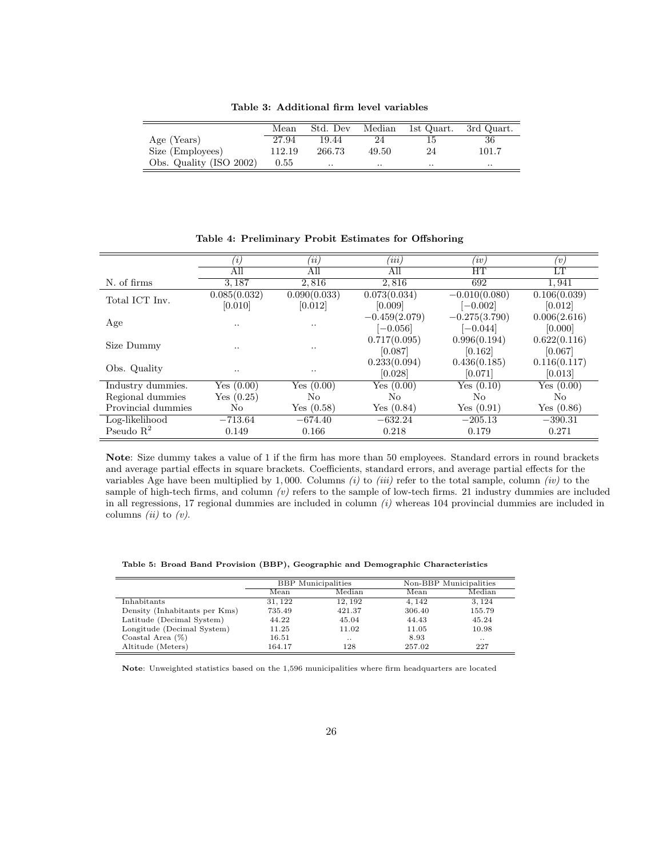Table 3: Additional firm level variables

|                         | Mean     | Std. Dev | Median    | 1st Quart. | 3rd Quart. |
|-------------------------|----------|----------|-----------|------------|------------|
| Age (Years)             | 27.94    | 19.44    | 24        |            | 36         |
| Size (Employees)        | 112.19   | 266.73   | 49.50     | 24         | 101.7      |
| Obs. Quality (ISO 2002) | $0.55\,$ |          | $\cdot$ . | $\cdot$ .  | $\cdot$ .  |

 $(ii)$  (ii)  $(iii)$  (iv) (v) All All All HT LT N. of firms 3,187 2,816 2,816 692 1,941 Total ICT Inv.  $0.085(0.032)$ [0.010]  $0.090(0.033)$ [0.012]  $(0.073(0.034))$ [0.009]  $-0.010(0.080)$  $[-0.002]$  $0.106(0.039)$ [0.012] Age  $-0.459(2.079)$  $[-0.056]$ −0.275(3.790)  $[-0.044]$ 0.006(2.616) [0.000] Size Dummy ...  $0.717(0.095)$ <br> $(0.097)$ [0.087] 0.996(0.194) [0.162] 0.622(0.116) [0.067] Obs. Quality ...  $0.233(0.094)$  ...  $0.233(0.094)$ [0.028] 0.436(0.185) [0.071] 0.116(0.117) [0.013] Industry dummies. Yes (0.00) Yes (0.00) Yes (0.00) Yes (0.10) Yes (0.00) Regional dummies Yes (0.25) No No No No Provincial dummies No Yes (0.58) Yes (0.84) Yes (0.91) Yes (0.86) Log-likelihood −713.64 −674.40 −632.24 −205.13 −390.31 Pseudo  $R^2$ 0.149 0.166 0.218 0.179 0.271

Table 4: Preliminary Probit Estimates for Offshoring

Note: Size dummy takes a value of 1 if the firm has more than 50 employees. Standard errors in round brackets and average partial effects in square brackets. Coefficients, standard errors, and average partial effects for the variables Age have been multiplied by 1,000. Columns  $(i)$  to  $(iii)$  refer to the total sample, column  $(iv)$  to the sample of high-tech firms, and column  $(v)$  refers to the sample of low-tech firms. 21 industry dummies are included in all regressions, 17 regional dummies are included in column  $(i)$  whereas 104 provincial dummies are included in columns *(ii)* to  $(v)$ .

|                               | <b>BBP</b> Municipalities |           |        | Non-BBP Municipalities |
|-------------------------------|---------------------------|-----------|--------|------------------------|
|                               | Mean                      | Median    | Mean   | Median                 |
| Inhabitants                   | 31.122                    | 12.192    | 4.142  | 3.124                  |
| Density (Inhabitants per Kms) | 735.49                    | 421.37    | 306.40 | 155.79                 |
| Latitude (Decimal System)     | 44.22                     | 45.04     | 44.43  | 45.24                  |
| Longitude (Decimal System)    | 11.25                     | 11.02     | 11.05  | 10.98                  |
| Coastal Area $(\%)$           | 16.51                     | $\cdot$ . | 8.93   | $\cdot$ .              |
| Altitude (Meters)             | 164.17                    | 128       | 257.02 | 227                    |

Note: Unweighted statistics based on the 1,596 municipalities where firm headquarters are located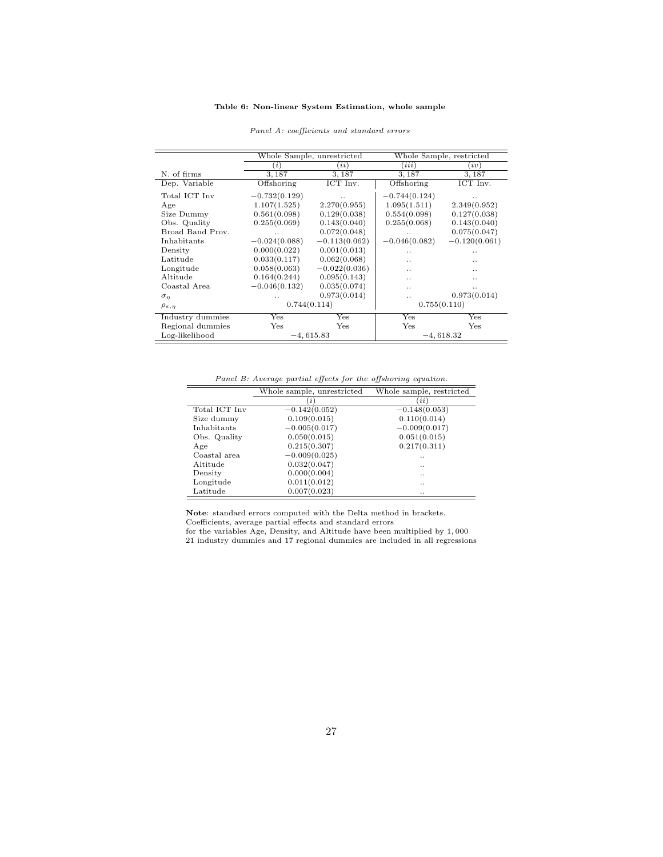#### Table 6: Non-linear System Estimation, whole sample

|                           |                 | Whole Sample, unrestricted |                      | Whole Sample, restricted |
|---------------------------|-----------------|----------------------------|----------------------|--------------------------|
|                           | (i)             | (ii)                       | (ii)                 | (iv)                     |
| N. of firms               | 3,187           | 3, 187                     | 3, 187               | 3,187                    |
| Dep. Variable             | Offshoring      | ICT Inv.                   | Offshoring           | ICT Inv.                 |
| Total ICT Inv             | $-0.732(0.129)$ |                            | $-0.744(0.124)$      |                          |
| Age                       | 1.107(1.525)    | 2.270(0.955)               | 1.095(1.511)         | 2.349(0.952)             |
| Size Dummy                | 0.561(0.098)    | 0.129(0.038)               | 0.554(0.098)         | 0.127(0.038)             |
| Obs. Quality              | 0.255(0.069)    | 0.143(0.040)               | 0.255(0.068)         | 0.143(0.040)             |
| Broad Band Prov.          |                 | 0.072(0.048)               | $\ddot{\phantom{0}}$ | 0.075(0.047)             |
| Inhabitants               | $-0.024(0.088)$ | $-0.113(0.062)$            | $-0.046(0.082)$      | $-0.120(0.061)$          |
| Density                   | 0.000(0.022)    | 0.001(0.013)               |                      |                          |
| Latitude                  | 0.033(0.117)    | 0.062(0.068)               |                      |                          |
| Longitude                 | 0.058(0.063)    | $-0.022(0.036)$            |                      |                          |
| Altitude                  | 0.164(0.244)    | 0.095(0.143)               | . .                  | . .                      |
| Coastal Area              | $-0.046(0.132)$ | 0.035(0.074)               | . .                  |                          |
| $\sigma_n$                |                 | 0.973(0.014)               | . .                  | 0.973(0.014)             |
| $\rho_{\varepsilon,\eta}$ | 0.744(0.114)    |                            |                      | 0.755(0.110)             |
| Industry dummies          | Yes             | Yes                        | Yes                  | Yes                      |
| Regional dummies          | $_{\rm Yes}$    | $_{\rm Yes}$               | Yes                  | Yes                      |
| Log-likelihood            |                 | $-4,615.83$                |                      | $-4,618.32$              |

#### Panel A: coefficients and standard errors

Panel B: Average partial effects for the offshoring equation.

|               | Whole sample, unrestricted | Whole sample, restricted |
|---------------|----------------------------|--------------------------|
|               | i                          | (i)                      |
| Total ICT Inv | $-0.142(0.052)$            | $-0.148(0.053)$          |
| Size dummy    | 0.109(0.015)               | 0.110(0.014)             |
| Inhabitants   | $-0.005(0.017)$            | $-0.009(0.017)$          |
| Obs. Quality  | 0.050(0.015)               | 0.051(0.015)             |
| Age           | 0.215(0.307)               | 0.217(0.311)             |
| Coastal area  | $-0.009(0.025)$            | . .                      |
| Altitude      | 0.032(0.047)               | . .                      |
| Density       | 0.000(0.004)               | . .                      |
| Longitude     | 0.011(0.012)               | . .                      |
| Latitude      | 0.007(0.023)               | . .                      |

Note: standard errors computed with the Delta method in brackets. Coefficients, average partial effects and standard errors

for the variables Age, Density, and Altitude have been multiplied by 1, 000

21 industry dummies and 17 regional dummies are included in all regressions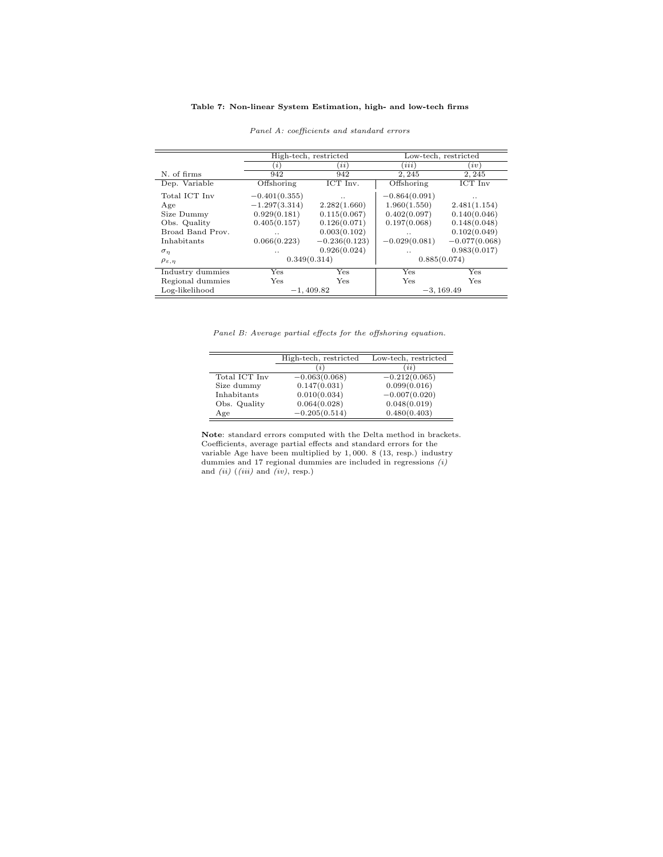#### Table 7: Non-linear System Estimation, high- and low-tech firms

|                           |                 | High-tech, restricted |                 | Low-tech, restricted |
|---------------------------|-----------------|-----------------------|-----------------|----------------------|
|                           | (i)             | <i>ii</i> )           | (iii)           | iv)                  |
| N. of firms               | 942             | 942                   | 2, 245          | 2, 245               |
| Dep. Variable             | Offshoring      | ICT Inv.              | Offshoring      | ICT Inv              |
| Total ICT Inv             | $-0.401(0.355)$ | . .                   | $-0.864(0.091)$ |                      |
| Age                       | $-1.297(3.314)$ | 2.282(1.660)          | 1.960(1.550)    | 2.481(1.154)         |
| Size Dummy                | 0.929(0.181)    | 0.115(0.067)          | 0.402(0.097)    | 0.140(0.046)         |
| Obs. Quality              | 0.405(0.157)    | 0.126(0.071)          | 0.197(0.068)    | 0.148(0.048)         |
| Broad Band Prov.          | $\cdot$ .       | 0.003(0.102)          | $\cdot$ .       | 0.102(0.049)         |
| Inhabitants               | 0.066(0.223)    | $-0.236(0.123)$       | $-0.029(0.081)$ | $-0.077(0.068)$      |
| $\sigma_n$                | . .             | 0.926(0.024)          | $\cdot$ .       | 0.983(0.017)         |
| $\rho_{\varepsilon,\eta}$ | 0.349(0.314)    |                       | 0.885(0.074)    |                      |
| Industry dummies          | Yes             | Yes                   | Yes             | Yes                  |
| Regional dummies          | Yes             | Yes                   | Yes             | Yes                  |
| Log-likelihood            |                 | $-1.409.82$           |                 | $-3, 169.49$         |

#### Panel A: coefficients and standard errors

Panel B: Average partial effects for the offshoring equation.

|               | High-tech, restricted | Low-tech, restricted |
|---------------|-----------------------|----------------------|
|               | $\iota$               | (ii)                 |
| Total ICT Inv | $-0.063(0.068)$       | $-0.212(0.065)$      |
| Size dummy    | 0.147(0.031)          | 0.099(0.016)         |
| Inhabitants   | 0.010(0.034)          | $-0.007(0.020)$      |
| Obs. Quality  | 0.064(0.028)          | 0.048(0.019)         |
| Age           | $-0.205(0.514)$       | 0.480(0.403)         |

Note: standard errors computed with the Delta method in brackets. Coefficients, average partial effects and standard errors for the variable Age have been multiplied by 1, 000. 8 (13, resp.) industry dummies and 17 regional dummies are included in regressions (i) and  $(ii)$   $(iii)$  and  $(iv)$ , resp.)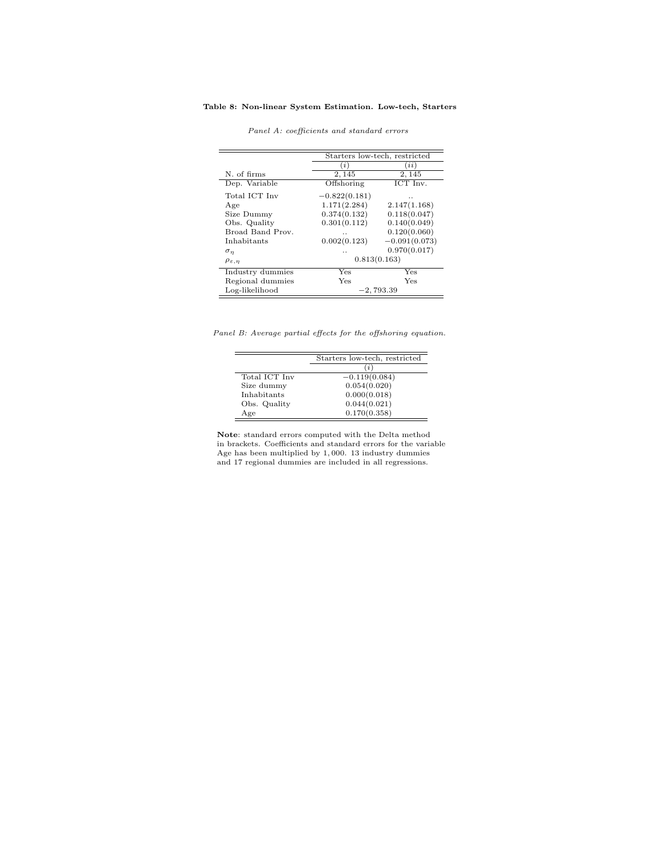#### Table 8: Non-linear System Estimation. Low-tech, Starters

|                           |                 | Starters low-tech, restricted |
|---------------------------|-----------------|-------------------------------|
|                           | (i)             | (ii)                          |
| N. of firms               | 2,145           | 2,145                         |
| Dep. Variable             | Offshoring      | ICT Inv.                      |
| Total ICT Inv             | $-0.822(0.181)$ | . .                           |
| Age                       | 1.171(2.284)    | 2.147(1.168)                  |
| Size Dummy                | 0.374(0.132)    | 0.118(0.047)                  |
| Obs. Quality              | 0.301(0.112)    | 0.140(0.049)                  |
| Broad Band Prov.          | . .             | 0.120(0.060)                  |
| Inhabitants               | 0.002(0.123)    | $-0.091(0.073)$               |
| $\sigma_n$                | $\cdot$ .       | 0.970(0.017)                  |
| $\rho_{\varepsilon,\eta}$ |                 | 0.813(0.163)                  |
| Industry dummies          | Yes             | Yes                           |
| Regional dummies          | Yes             | Yes                           |
| Log-likelihood            |                 | $-2,793.39$                   |

Panel A: coefficients and standard errors

Panel B: Average partial effects for the offshoring equation.

|               | Starters low-tech, restricted |
|---------------|-------------------------------|
|               | (i)                           |
| Total ICT Inv | $-0.119(0.084)$               |
| Size dummy    | 0.054(0.020)                  |
| Inhabitants   | 0.000(0.018)                  |
| Obs. Quality  | 0.044(0.021)                  |
| Age           | 0.170(0.358)                  |

Note: standard errors computed with the Delta method in brackets. Coefficients and standard errors for the variable Age has been multiplied by 1, 000. 13 industry dummies and 17 regional dummies are included in all regressions.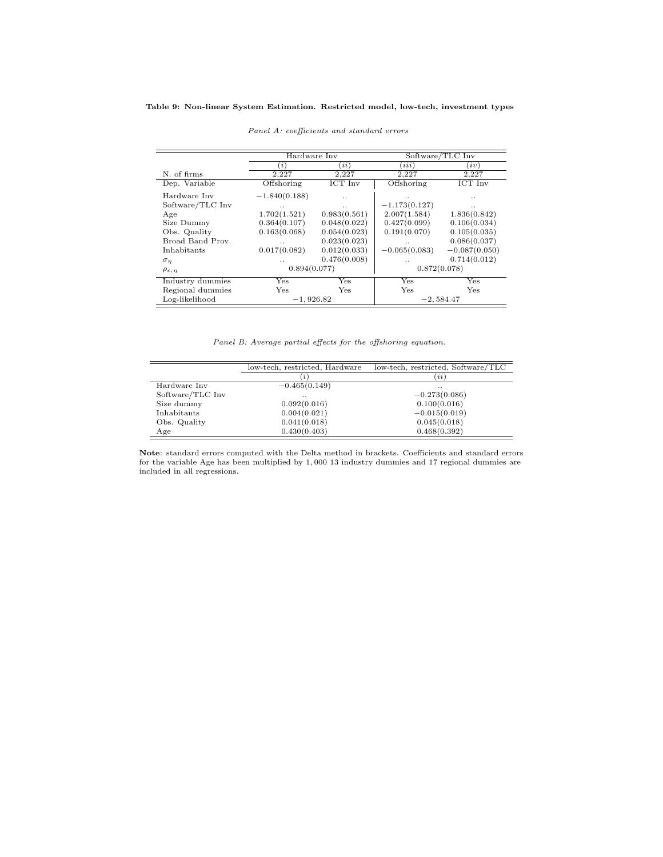#### Table 9: Non-linear System Estimation. Restricted model, low-tech, investment types

|                           | Hardware Inv    |              |                      | Software/TLC Inv |
|---------------------------|-----------------|--------------|----------------------|------------------|
|                           | $\iota$         | (ii)         | (ii)                 | iv               |
| N. of firms               | 2.227           | 2,227        | 2,227                | 2,227            |
| Dep. Variable             | Offshoring      | ICT Inv      | Offshoring           | ICT Inv          |
| Hardware Inv              | $-1.840(0.188)$ | $\cdot$ .    |                      |                  |
| Software/TLC Inv          | $\cdot$ .       | $\cdot$ .    | $-1.173(0.127)$      | $\cdot$ .        |
| Age                       | 1.702(1.521)    | 0.983(0.561) | 2.007(1.584)         | 1.836(0.842)     |
| Size Dummy                | 0.364(0.107)    | 0.048(0.022) | 0.427(0.099)         | 0.106(0.034)     |
| Obs. Quality              | 0.163(0.068)    | 0.054(0.023) | 0.191(0.070)         | 0.105(0.035)     |
| Broad Band Prov.          | $\cdot$ .       | 0.023(0.023) | $\cdot$ .            | 0.086(0.037)     |
| Inhabitants               | 0.017(0.082)    | 0.012(0.033) | $-0.065(0.083)$      | $-0.087(0.050)$  |
| $\sigma_{\eta}$           |                 | 0.476(0.008) | $\ddot{\phantom{0}}$ | 0.714(0.012)     |
| $\rho_{\varepsilon,\eta}$ | 0.894(0.077)    |              |                      | 0.872(0.078)     |
| Industry dummies          | Yes             | Yes          | Yes                  | Yes              |
| Regional dummies          | Yes             | Yes          | Yes                  | Yes              |
| Log-likelihood            | $-1,926.82$     |              |                      | $-2,584.47$      |

Panel A: coefficients and standard errors

Panel B: Average partial effects for the offshoring equation.

|                  | low-tech, restricted, Hardware | low-tech, restricted, Software/TLC |  |
|------------------|--------------------------------|------------------------------------|--|
|                  | i                              | (i)                                |  |
| Hardware Inv     | $-0.465(0.149)$                | $\cdot$ .                          |  |
| Software/TLC Inv | $\cdot$ .                      | $-0.273(0.086)$                    |  |
| Size dummy       | 0.092(0.016)                   | 0.100(0.016)                       |  |
| Inhabitants      | 0.004(0.021)                   | $-0.015(0.019)$                    |  |
| Obs. Quality     | 0.041(0.018)                   | 0.045(0.018)                       |  |
| Age              | 0.430(0.403)                   | 0.468(0.392)                       |  |

Note: standard errors computed with the Delta method in brackets. Coefficients and standard errors for the variable Age has been multiplied by 1, 000 13 industry dummies and 17 regional dummies are included in all regressions.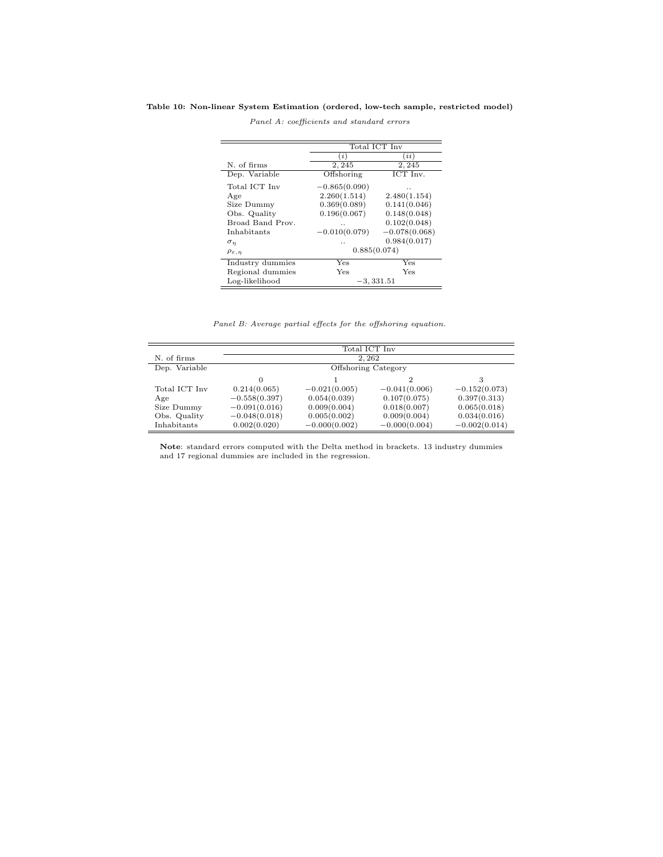#### Table 10: Non-linear System Estimation (ordered, low-tech sample, restricted model)

|                           | Total ICT Inv   |                              |  |
|---------------------------|-----------------|------------------------------|--|
|                           | i)              | <i>ii</i> )                  |  |
| N. of firms               | 2,245           | 2, 245                       |  |
| Dep. Variable             | Offshoring      | $\overline{\text{ICT}}$ Inv. |  |
| Total ICT Inv             | $-0.865(0.090)$ |                              |  |
| Age                       | 2.260(1.514)    | 2.480(1.154)                 |  |
| Size Dummy                | 0.369(0.089)    | 0.141(0.046)                 |  |
| Obs. Quality              | 0.196(0.067)    | 0.148(0.048)                 |  |
| Broad Band Prov.          | . .             | 0.102(0.048)                 |  |
| Inhabitants               | $-0.010(0.079)$ | $-0.078(0.068)$              |  |
| $\sigma_n$                | . .             | 0.984(0.017)                 |  |
| $\rho_{\varepsilon,\eta}$ | 0.885(0.074)    |                              |  |
| Industry dummies          | Yes             | Yes                          |  |
| Regional dummies          | Yes             | Yes                          |  |
| Log-likelihood            |                 | -3, 331.51                   |  |

Panel A: coefficients and standard errors

Panel B: Average partial effects for the offshoring equation.

|               | Total ICT Inv       |                 |                 |                 |  |
|---------------|---------------------|-----------------|-----------------|-----------------|--|
| N. of firms   | 2.262               |                 |                 |                 |  |
| Dep. Variable | Offshoring Category |                 |                 |                 |  |
|               |                     |                 |                 | 3               |  |
| Total ICT Inv | 0.214(0.065)        | $-0.021(0.005)$ | $-0.041(0.006)$ | $-0.152(0.073)$ |  |
| Age           | $-0.558(0.397)$     | 0.054(0.039)    | 0.107(0.075)    | 0.397(0.313)    |  |
| Size Dummy    | $-0.091(0.016)$     | 0.009(0.004)    | 0.018(0.007)    | 0.065(0.018)    |  |
| Obs. Quality  | $-0.048(0.018)$     | 0.005(0.002)    | 0.009(0.004)    | 0.034(0.016)    |  |
| Inhabitants   | 0.002(0.020)        | $-0.000(0.002)$ | $-0.000(0.004)$ | $-0.002(0.014)$ |  |

Note: standard errors computed with the Delta method in brackets. 13 industry dummies and 17 regional dummies are included in the regression.